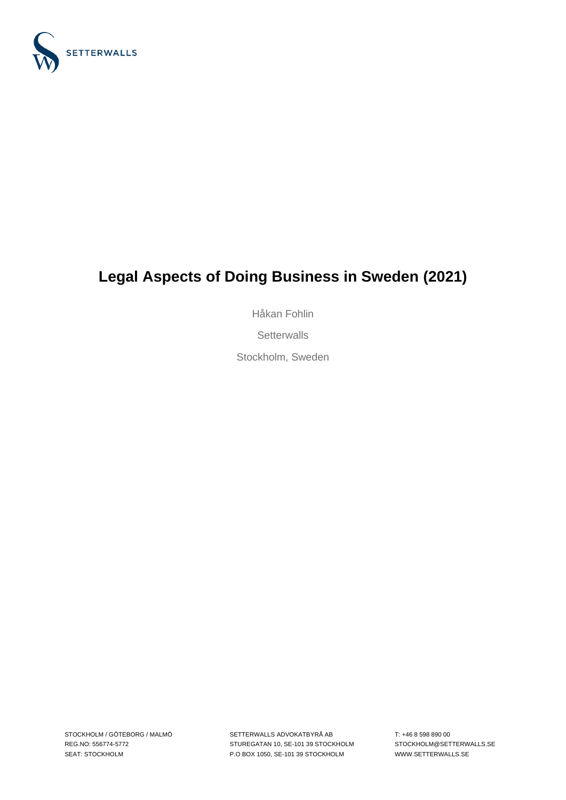

# **Legal Aspects of Doing Business in Sweden (2021)**

Håkan Fohlin

**Setterwalls** 

Stockholm, Sweden

SETTERWALLS ADVOKATBYRÅ AB STUREGATAN 10, SE-101 39 STOCKHOLM P.O BOX 1050, SE-101 39 STOCKHOLM

T: +46 8 598 890 00 STOCKHOLM@SETTERWALLS.SE WWW.SETTERWALLS.SE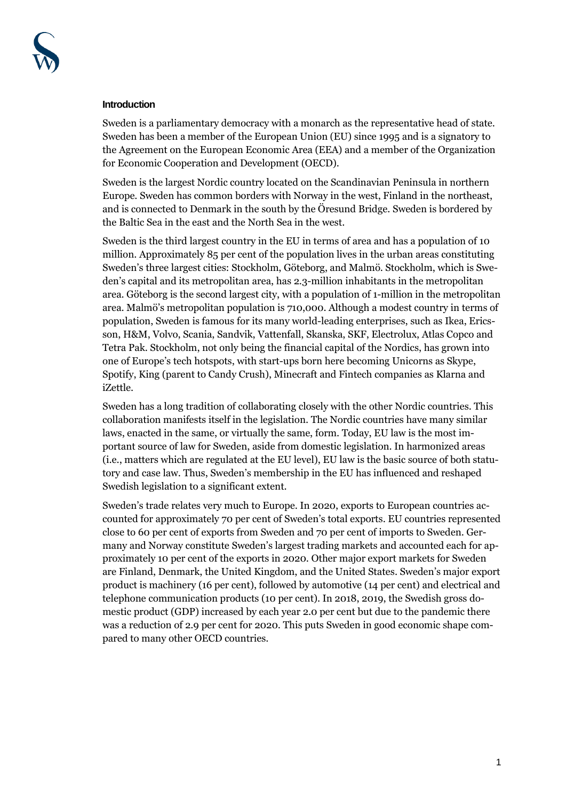#### **Introduction**

Sweden is a parliamentary democracy with a monarch as the representative head of state. Sweden has been a member of the European Union (EU) since 1995 and is a signatory to the Agreement on the European Economic Area (EEA) and a member of the Organization for Economic Cooperation and Development (OECD).

Sweden is the largest Nordic country located on the Scandinavian Peninsula in northern Europe. Sweden has common borders with Norway in the west, Finland in the northeast, and is connected to Denmark in the south by the Öresund Bridge. Sweden is bordered by the Baltic Sea in the east and the North Sea in the west.

Sweden is the third largest country in the EU in terms of area and has a population of 10 million. Approximately 85 per cent of the population lives in the urban areas constituting Sweden's three largest cities: Stockholm, Göteborg, and Malmö. Stockholm, which is Sweden's capital and its metropolitan area, has 2.3-million inhabitants in the metropolitan area. Göteborg is the second largest city, with a population of 1-million in the metropolitan area. Malmö's metropolitan population is 710,000. Although a modest country in terms of population, Sweden is famous for its many world-leading enterprises, such as Ikea, Ericsson, H&M, Volvo, Scania, Sandvik, Vattenfall, Skanska, SKF, Electrolux, Atlas Copco and Tetra Pak. Stockholm, not only being the financial capital of the Nordics, has grown into one of Europe's tech hotspots, with start-ups born here becoming Unicorns as Skype, Spotify, King (parent to Candy Crush), Minecraft and Fintech companies as Klarna and iZettle.

Sweden has a long tradition of collaborating closely with the other Nordic countries. This collaboration manifests itself in the legislation. The Nordic countries have many similar laws, enacted in the same, or virtually the same, form. Today, EU law is the most important source of law for Sweden, aside from domestic legislation. In harmonized areas (i.e., matters which are regulated at the EU level), EU law is the basic source of both statutory and case law. Thus, Sweden's membership in the EU has influenced and reshaped Swedish legislation to a significant extent.

Sweden's trade relates very much to Europe. In 2020, exports to European countries accounted for approximately 70 per cent of Sweden's total exports. EU countries represented close to 60 per cent of exports from Sweden and 70 per cent of imports to Sweden. Germany and Norway constitute Sweden's largest trading markets and accounted each for approximately 10 per cent of the exports in 2020. Other major export markets for Sweden are Finland, Denmark, the United Kingdom, and the United States. Sweden's major export product is machinery (16 per cent), followed by automotive (14 per cent) and electrical and telephone communication products (10 per cent). In 2018, 2019, the Swedish gross domestic product (GDP) increased by each year 2.0 per cent but due to the pandemic there was a reduction of 2.9 per cent for 2020. This puts Sweden in good economic shape compared to many other OECD countries.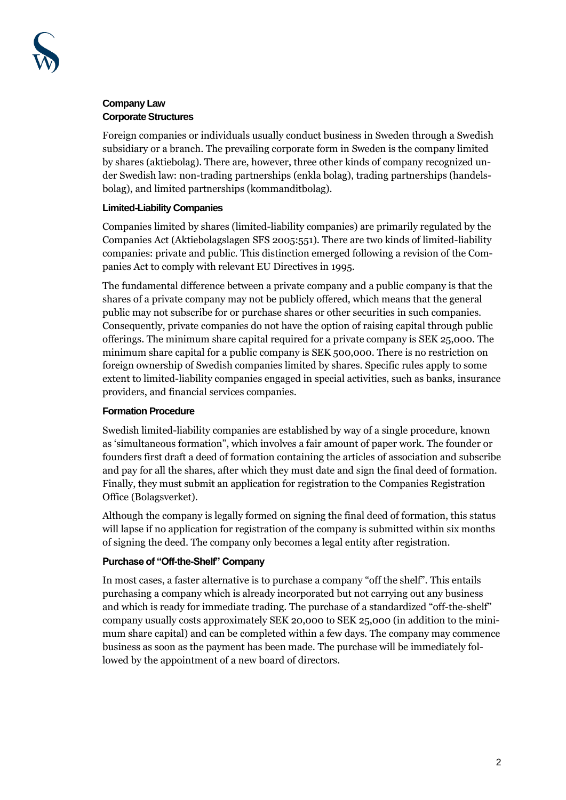# **Company Law Corporate Structures**

Foreign companies or individuals usually conduct business in Sweden through a Swedish subsidiary or a branch. The prevailing corporate form in Sweden is the company limited by shares (aktiebolag). There are, however, three other kinds of company recognized under Swedish law: non-trading partnerships (enkla bolag), trading partnerships (handelsbolag), and limited partnerships (kommanditbolag).

# **Limited-Liability Companies**

Companies limited by shares (limited-liability companies) are primarily regulated by the Companies Act (Aktiebolagslagen SFS 2005:551). There are two kinds of limited-liability companies: private and public. This distinction emerged following a revision of the Companies Act to comply with relevant EU Directives in 1995.

The fundamental difference between a private company and a public company is that the shares of a private company may not be publicly offered, which means that the general public may not subscribe for or purchase shares or other securities in such companies. Consequently, private companies do not have the option of raising capital through public offerings. The minimum share capital required for a private company is SEK 25,000. The minimum share capital for a public company is SEK 500,000. There is no restriction on foreign ownership of Swedish companies limited by shares. Specific rules apply to some extent to limited-liability companies engaged in special activities, such as banks, insurance providers, and financial services companies.

# **Formation Procedure**

Swedish limited-liability companies are established by way of a single procedure, known as 'simultaneous formation", which involves a fair amount of paper work. The founder or founders first draft a deed of formation containing the articles of association and subscribe and pay for all the shares, after which they must date and sign the final deed of formation. Finally, they must submit an application for registration to the Companies Registration Office (Bolagsverket).

Although the company is legally formed on signing the final deed of formation, this status will lapse if no application for registration of the company is submitted within six months of signing the deed. The company only becomes a legal entity after registration.

# **Purchase of "Off-the-Shelf" Company**

In most cases, a faster alternative is to purchase a company "off the shelf". This entails purchasing a company which is already incorporated but not carrying out any business and which is ready for immediate trading. The purchase of a standardized "off-the-shelf" company usually costs approximately SEK 20,000 to SEK 25,000 (in addition to the minimum share capital) and can be completed within a few days. The company may commence business as soon as the payment has been made. The purchase will be immediately followed by the appointment of a new board of directors.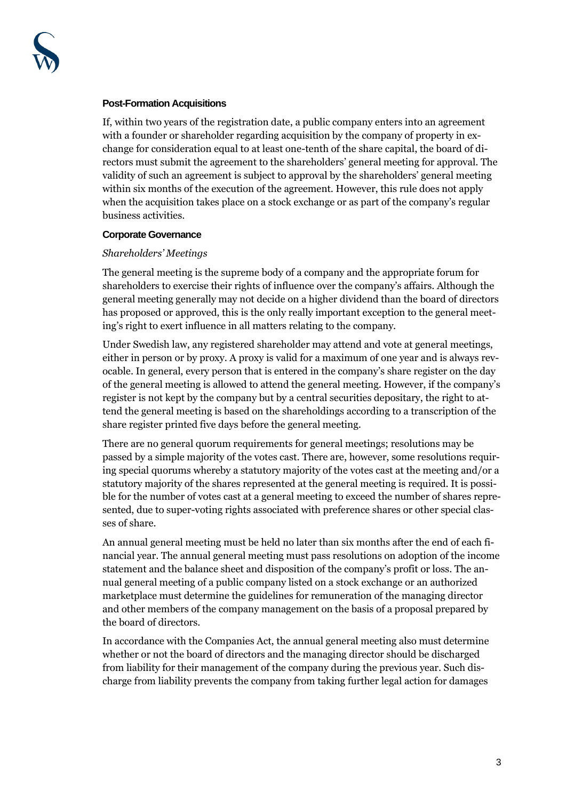

#### **Post-Formation Acquisitions**

If, within two years of the registration date, a public company enters into an agreement with a founder or shareholder regarding acquisition by the company of property in exchange for consideration equal to at least one-tenth of the share capital, the board of directors must submit the agreement to the shareholders' general meeting for approval. The validity of such an agreement is subject to approval by the shareholders' general meeting within six months of the execution of the agreement. However, this rule does not apply when the acquisition takes place on a stock exchange or as part of the company's regular business activities.

#### **Corporate Governance**

#### *Shareholders' Meetings*

The general meeting is the supreme body of a company and the appropriate forum for shareholders to exercise their rights of influence over the company's affairs. Although the general meeting generally may not decide on a higher dividend than the board of directors has proposed or approved, this is the only really important exception to the general meeting's right to exert influence in all matters relating to the company.

Under Swedish law, any registered shareholder may attend and vote at general meetings, either in person or by proxy. A proxy is valid for a maximum of one year and is always revocable. In general, every person that is entered in the company's share register on the day of the general meeting is allowed to attend the general meeting. However, if the company's register is not kept by the company but by a central securities depositary, the right to attend the general meeting is based on the shareholdings according to a transcription of the share register printed five days before the general meeting.

There are no general quorum requirements for general meetings; resolutions may be passed by a simple majority of the votes cast. There are, however, some resolutions requiring special quorums whereby a statutory majority of the votes cast at the meeting and/or a statutory majority of the shares represented at the general meeting is required. It is possible for the number of votes cast at a general meeting to exceed the number of shares represented, due to super-voting rights associated with preference shares or other special classes of share.

An annual general meeting must be held no later than six months after the end of each financial year. The annual general meeting must pass resolutions on adoption of the income statement and the balance sheet and disposition of the company's profit or loss. The annual general meeting of a public company listed on a stock exchange or an authorized marketplace must determine the guidelines for remuneration of the managing director and other members of the company management on the basis of a proposal prepared by the board of directors.

In accordance with the Companies Act, the annual general meeting also must determine whether or not the board of directors and the managing director should be discharged from liability for their management of the company during the previous year. Such discharge from liability prevents the company from taking further legal action for damages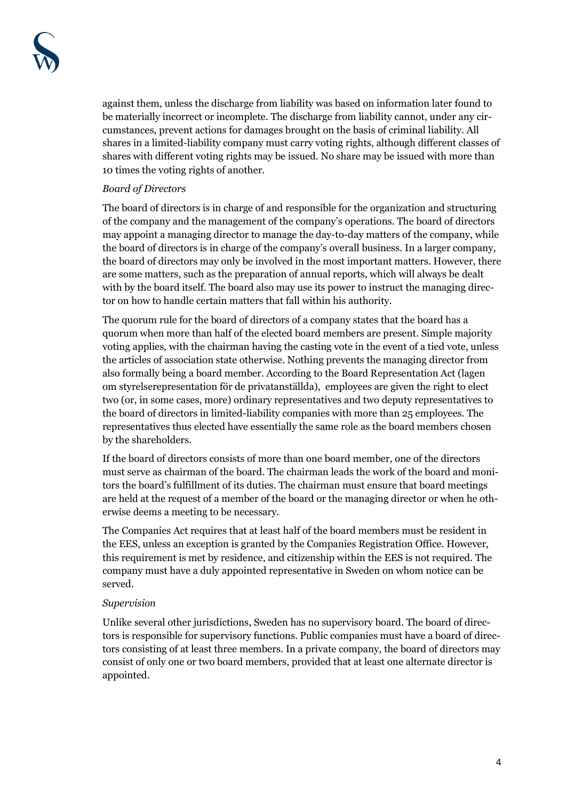against them, unless the discharge from liability was based on information later found to be materially incorrect or incomplete. The discharge from liability cannot, under any circumstances, prevent actions for damages brought on the basis of criminal liability. All shares in a limited-liability company must carry voting rights, although different classes of shares with different voting rights may be issued. No share may be issued with more than 10 times the voting rights of another.

# *Board of Directors*

The board of directors is in charge of and responsible for the organization and structuring of the company and the management of the company's operations. The board of directors may appoint a managing director to manage the day-to-day matters of the company, while the board of directors is in charge of the company's overall business. In a larger company, the board of directors may only be involved in the most important matters. However, there are some matters, such as the preparation of annual reports, which will always be dealt with by the board itself. The board also may use its power to instruct the managing director on how to handle certain matters that fall within his authority.

The quorum rule for the board of directors of a company states that the board has a quorum when more than half of the elected board members are present. Simple majority voting applies, with the chairman having the casting vote in the event of a tied vote, unless the articles of association state otherwise. Nothing prevents the managing director from also formally being a board member. According to the Board Representation Act (lagen om styrelserepresentation för de privatanställda), employees are given the right to elect two (or, in some cases, more) ordinary representatives and two deputy representatives to the board of directors in limited-liability companies with more than 25 employees. The representatives thus elected have essentially the same role as the board members chosen by the shareholders.

If the board of directors consists of more than one board member, one of the directors must serve as chairman of the board. The chairman leads the work of the board and monitors the board's fulfillment of its duties. The chairman must ensure that board meetings are held at the request of a member of the board or the managing director or when he otherwise deems a meeting to be necessary.

The Companies Act requires that at least half of the board members must be resident in the EES, unless an exception is granted by the Companies Registration Office. However, this requirement is met by residence, and citizenship within the EES is not required. The company must have a duly appointed representative in Sweden on whom notice can be served.

## *Supervision*

Unlike several other jurisdictions, Sweden has no supervisory board. The board of directors is responsible for supervisory functions. Public companies must have a board of directors consisting of at least three members. In a private company, the board of directors may consist of only one or two board members, provided that at least one alternate director is appointed.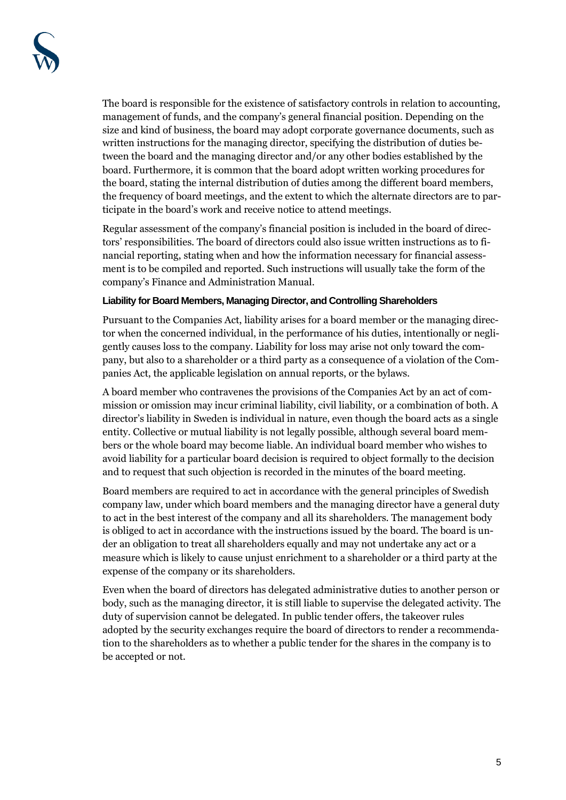The board is responsible for the existence of satisfactory controls in relation to accounting, management of funds, and the company's general financial position. Depending on the size and kind of business, the board may adopt corporate governance documents, such as written instructions for the managing director, specifying the distribution of duties between the board and the managing director and/or any other bodies established by the board. Furthermore, it is common that the board adopt written working procedures for the board, stating the internal distribution of duties among the different board members, the frequency of board meetings, and the extent to which the alternate directors are to participate in the board's work and receive notice to attend meetings.

Regular assessment of the company's financial position is included in the board of directors' responsibilities. The board of directors could also issue written instructions as to financial reporting, stating when and how the information necessary for financial assessment is to be compiled and reported. Such instructions will usually take the form of the company's Finance and Administration Manual.

#### **Liability for Board Members, Managing Director, and Controlling Shareholders**

Pursuant to the Companies Act, liability arises for a board member or the managing director when the concerned individual, in the performance of his duties, intentionally or negligently causes loss to the company. Liability for loss may arise not only toward the company, but also to a shareholder or a third party as a consequence of a violation of the Companies Act, the applicable legislation on annual reports, or the bylaws.

A board member who contravenes the provisions of the Companies Act by an act of commission or omission may incur criminal liability, civil liability, or a combination of both. A director's liability in Sweden is individual in nature, even though the board acts as a single entity. Collective or mutual liability is not legally possible, although several board members or the whole board may become liable. An individual board member who wishes to avoid liability for a particular board decision is required to object formally to the decision and to request that such objection is recorded in the minutes of the board meeting.

Board members are required to act in accordance with the general principles of Swedish company law, under which board members and the managing director have a general duty to act in the best interest of the company and all its shareholders. The management body is obliged to act in accordance with the instructions issued by the board. The board is under an obligation to treat all shareholders equally and may not undertake any act or a measure which is likely to cause unjust enrichment to a shareholder or a third party at the expense of the company or its shareholders.

Even when the board of directors has delegated administrative duties to another person or body, such as the managing director, it is still liable to supervise the delegated activity. The duty of supervision cannot be delegated. In public tender offers, the takeover rules adopted by the security exchanges require the board of directors to render a recommendation to the shareholders as to whether a public tender for the shares in the company is to be accepted or not.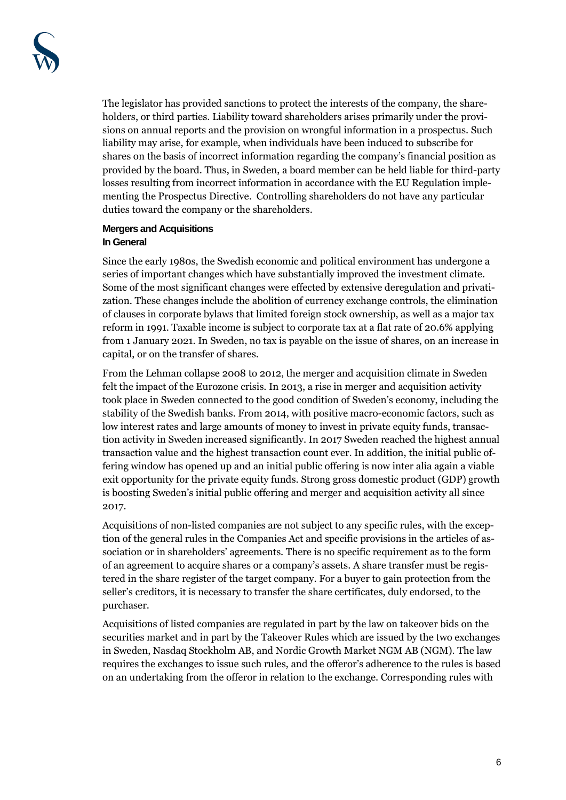The legislator has provided sanctions to protect the interests of the company, the shareholders, or third parties. Liability toward shareholders arises primarily under the provisions on annual reports and the provision on wrongful information in a prospectus. Such liability may arise, for example, when individuals have been induced to subscribe for shares on the basis of incorrect information regarding the company's financial position as provided by the board. Thus, in Sweden, a board member can be held liable for third-party losses resulting from incorrect information in accordance with the EU Regulation implementing the Prospectus Directive. Controlling shareholders do not have any particular duties toward the company or the shareholders.

## **Mergers and Acquisitions In General**

Since the early 1980s, the Swedish economic and political environment has undergone a series of important changes which have substantially improved the investment climate. Some of the most significant changes were effected by extensive deregulation and privatization. These changes include the abolition of currency exchange controls, the elimination of clauses in corporate bylaws that limited foreign stock ownership, as well as a major tax reform in 1991. Taxable income is subject to corporate tax at a flat rate of 20.6% applying from 1 January 2021. In Sweden, no tax is payable on the issue of shares, on an increase in capital, or on the transfer of shares.

From the Lehman collapse 2008 to 2012, the merger and acquisition climate in Sweden felt the impact of the Eurozone crisis. In 2013, a rise in merger and acquisition activity took place in Sweden connected to the good condition of Sweden's economy, including the stability of the Swedish banks. From 2014, with positive macro-economic factors, such as low interest rates and large amounts of money to invest in private equity funds, transaction activity in Sweden increased significantly. In 2017 Sweden reached the highest annual transaction value and the highest transaction count ever. In addition, the initial public offering window has opened up and an initial public offering is now inter alia again a viable exit opportunity for the private equity funds. Strong gross domestic product (GDP) growth is boosting Sweden's initial public offering and merger and acquisition activity all since 2017.

Acquisitions of non-listed companies are not subject to any specific rules, with the exception of the general rules in the Companies Act and specific provisions in the articles of association or in shareholders' agreements. There is no specific requirement as to the form of an agreement to acquire shares or a company's assets. A share transfer must be registered in the share register of the target company. For a buyer to gain protection from the seller's creditors, it is necessary to transfer the share certificates, duly endorsed, to the purchaser.

Acquisitions of listed companies are regulated in part by the law on takeover bids on the securities market and in part by the Takeover Rules which are issued by the two exchanges in Sweden, Nasdaq Stockholm AB, and Nordic Growth Market NGM AB (NGM). The law requires the exchanges to issue such rules, and the offeror's adherence to the rules is based on an undertaking from the offeror in relation to the exchange. Corresponding rules with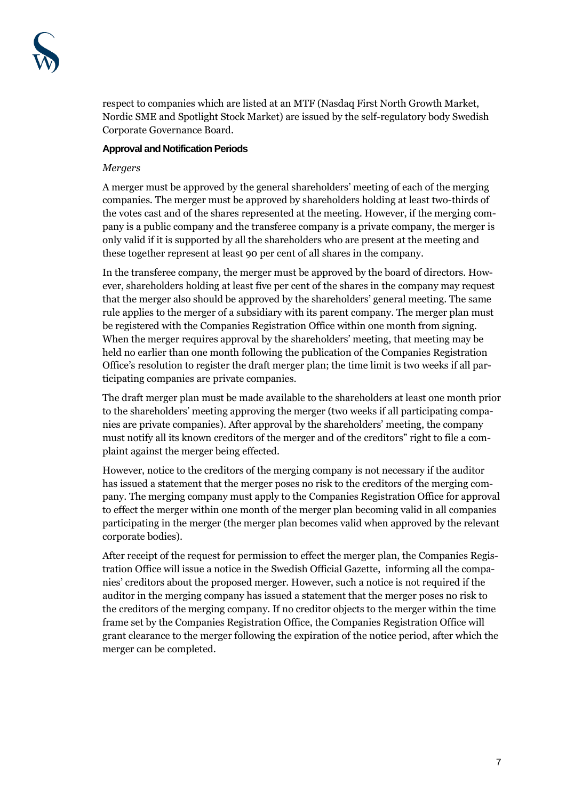respect to companies which are listed at an MTF (Nasdaq First North Growth Market, Nordic SME and Spotlight Stock Market) are issued by the self-regulatory body Swedish Corporate Governance Board.

#### **Approval and Notification Periods**

#### *Mergers*

A merger must be approved by the general shareholders' meeting of each of the merging companies. The merger must be approved by shareholders holding at least two-thirds of the votes cast and of the shares represented at the meeting. However, if the merging company is a public company and the transferee company is a private company, the merger is only valid if it is supported by all the shareholders who are present at the meeting and these together represent at least 90 per cent of all shares in the company.

In the transferee company, the merger must be approved by the board of directors. However, shareholders holding at least five per cent of the shares in the company may request that the merger also should be approved by the shareholders' general meeting. The same rule applies to the merger of a subsidiary with its parent company. The merger plan must be registered with the Companies Registration Office within one month from signing. When the merger requires approval by the shareholders' meeting, that meeting may be held no earlier than one month following the publication of the Companies Registration Office's resolution to register the draft merger plan; the time limit is two weeks if all participating companies are private companies.

The draft merger plan must be made available to the shareholders at least one month prior to the shareholders' meeting approving the merger (two weeks if all participating companies are private companies). After approval by the shareholders' meeting, the company must notify all its known creditors of the merger and of the creditors" right to file a complaint against the merger being effected.

However, notice to the creditors of the merging company is not necessary if the auditor has issued a statement that the merger poses no risk to the creditors of the merging company. The merging company must apply to the Companies Registration Office for approval to effect the merger within one month of the merger plan becoming valid in all companies participating in the merger (the merger plan becomes valid when approved by the relevant corporate bodies).

After receipt of the request for permission to effect the merger plan, the Companies Registration Office will issue a notice in the Swedish Official Gazette, informing all the companies' creditors about the proposed merger. However, such a notice is not required if the auditor in the merging company has issued a statement that the merger poses no risk to the creditors of the merging company. If no creditor objects to the merger within the time frame set by the Companies Registration Office, the Companies Registration Office will grant clearance to the merger following the expiration of the notice period, after which the merger can be completed.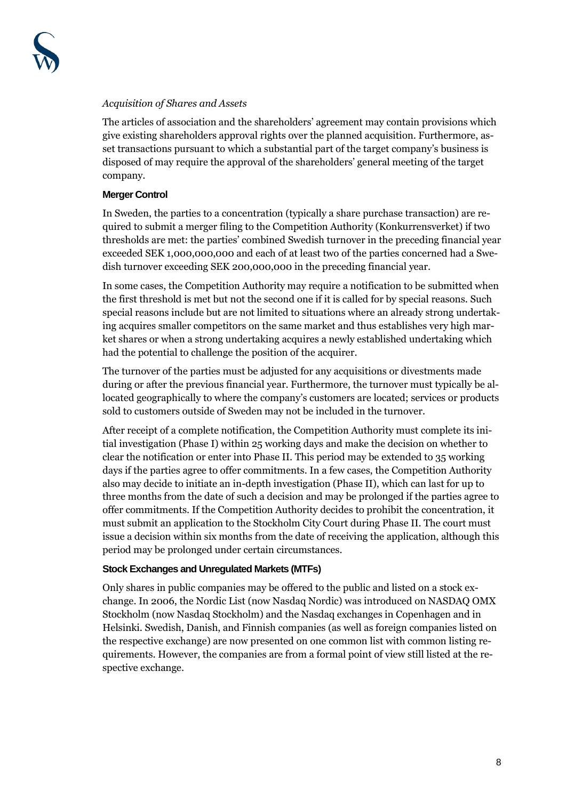

#### *Acquisition of Shares and Assets*

The articles of association and the shareholders' agreement may contain provisions which give existing shareholders approval rights over the planned acquisition. Furthermore, asset transactions pursuant to which a substantial part of the target company's business is disposed of may require the approval of the shareholders' general meeting of the target company.

#### **Merger Control**

In Sweden, the parties to a concentration (typically a share purchase transaction) are required to submit a merger filing to the Competition Authority (Konkurrensverket) if two thresholds are met: the parties' combined Swedish turnover in the preceding financial year exceeded SEK 1,000,000,000 and each of at least two of the parties concerned had a Swedish turnover exceeding SEK 200,000,000 in the preceding financial year.

In some cases, the Competition Authority may require a notification to be submitted when the first threshold is met but not the second one if it is called for by special reasons. Such special reasons include but are not limited to situations where an already strong undertaking acquires smaller competitors on the same market and thus establishes very high market shares or when a strong undertaking acquires a newly established undertaking which had the potential to challenge the position of the acquirer.

The turnover of the parties must be adjusted for any acquisitions or divestments made during or after the previous financial year. Furthermore, the turnover must typically be allocated geographically to where the company's customers are located; services or products sold to customers outside of Sweden may not be included in the turnover.

After receipt of a complete notification, the Competition Authority must complete its initial investigation (Phase I) within 25 working days and make the decision on whether to clear the notification or enter into Phase II. This period may be extended to 35 working days if the parties agree to offer commitments. In a few cases, the Competition Authority also may decide to initiate an in-depth investigation (Phase II), which can last for up to three months from the date of such a decision and may be prolonged if the parties agree to offer commitments. If the Competition Authority decides to prohibit the concentration, it must submit an application to the Stockholm City Court during Phase II. The court must issue a decision within six months from the date of receiving the application, although this period may be prolonged under certain circumstances.

#### **Stock Exchanges and Unregulated Markets (MTFs)**

Only shares in public companies may be offered to the public and listed on a stock exchange. In 2006, the Nordic List (now Nasdaq Nordic) was introduced on NASDAQ OMX Stockholm (now Nasdaq Stockholm) and the Nasdaq exchanges in Copenhagen and in Helsinki. Swedish, Danish, and Finnish companies (as well as foreign companies listed on the respective exchange) are now presented on one common list with common listing requirements. However, the companies are from a formal point of view still listed at the respective exchange.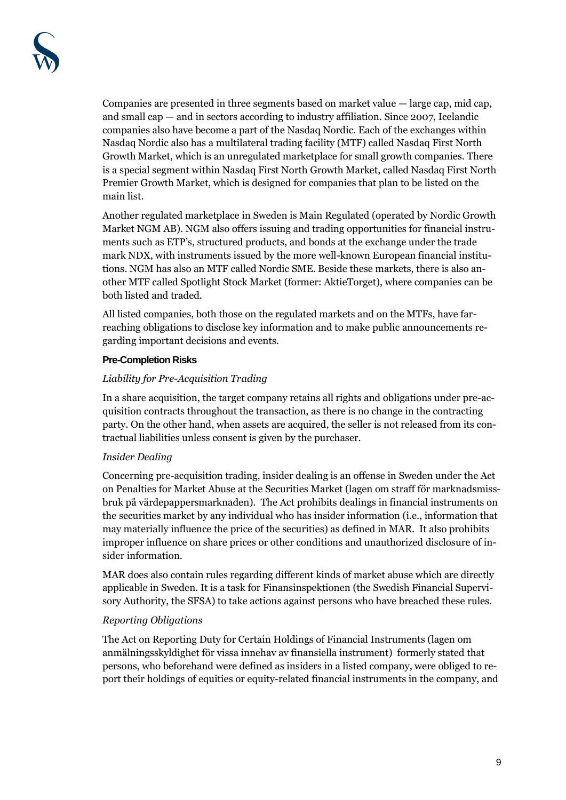Companies are presented in three segments based on market value  $-$  large cap, mid cap, and small cap — and in sectors according to industry affiliation. Since 2007, Icelandic companies also have become a part of the Nasdaq Nordic. Each of the exchanges within Nasdaq Nordic also has a multilateral trading facility (MTF) called Nasdaq First North Growth Market, which is an unregulated marketplace for small growth companies. There is a special segment within Nasdaq First North Growth Market, called Nasdaq First North Premier Growth Market, which is designed for companies that plan to be listed on the main list.

Another regulated marketplace in Sweden is Main Regulated (operated by Nordic Growth Market NGM AB). NGM also offers issuing and trading opportunities for financial instruments such as ETP's, structured products, and bonds at the exchange under the trade mark NDX, with instruments issued by the more well-known European financial institutions. NGM has also an MTF called Nordic SME. Beside these markets, there is also another MTF called Spotlight Stock Market (former: AktieTorget), where companies can be both listed and traded.

All listed companies, both those on the regulated markets and on the MTFs, have farreaching obligations to disclose key information and to make public announcements regarding important decisions and events.

## **Pre-Completion Risks**

## *Liability for Pre-Acquisition Trading*

In a share acquisition, the target company retains all rights and obligations under pre-acquisition contracts throughout the transaction, as there is no change in the contracting party. On the other hand, when assets are acquired, the seller is not released from its contractual liabilities unless consent is given by the purchaser.

## *Insider Dealing*

Concerning pre-acquisition trading, insider dealing is an offense in Sweden under the Act on Penalties for Market Abuse at the Securities Market (lagen om straff för marknadsmissbruk på värdepappersmarknaden). The Act prohibits dealings in financial instruments on the securities market by any individual who has insider information (i.e., information that may materially influence the price of the securities) as defined in MAR. It also prohibits improper influence on share prices or other conditions and unauthorized disclosure of insider information.

MAR does also contain rules regarding different kinds of market abuse which are directly applicable in Sweden. It is a task for Finansinspektionen (the Swedish Financial Supervisory Authority, the SFSA) to take actions against persons who have breached these rules.

## *Reporting Obligations*

The Act on Reporting Duty for Certain Holdings of Financial Instruments (lagen om anmälningsskyldighet för vissa innehav av finansiella instrument) formerly stated that persons, who beforehand were defined as insiders in a listed company, were obliged to report their holdings of equities or equity-related financial instruments in the company, and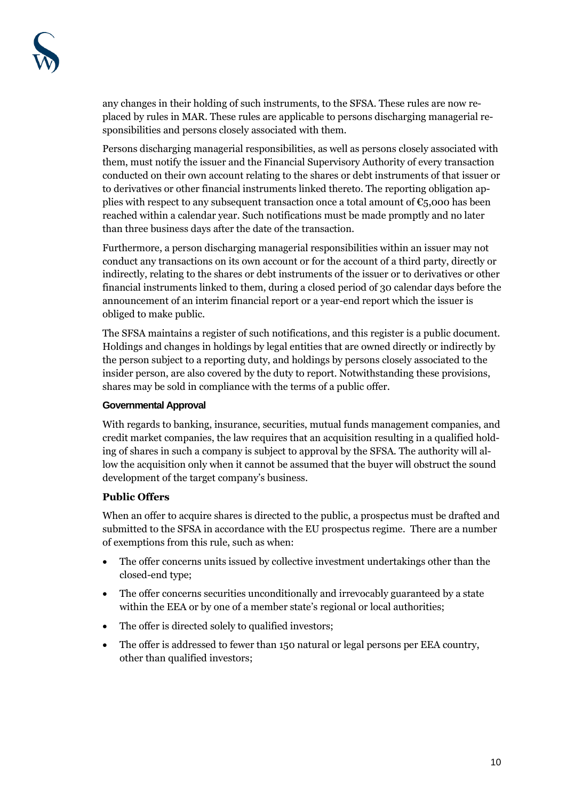any changes in their holding of such instruments, to the SFSA. These rules are now replaced by rules in MAR. These rules are applicable to persons discharging managerial responsibilities and persons closely associated with them.

Persons discharging managerial responsibilities, as well as persons closely associated with them, must notify the issuer and the Financial Supervisory Authority of every transaction conducted on their own account relating to the shares or debt instruments of that issuer or to derivatives or other financial instruments linked thereto. The reporting obligation applies with respect to any subsequent transaction once a total amount of  $\epsilon_{5}$ ,000 has been reached within a calendar year. Such notifications must be made promptly and no later than three business days after the date of the transaction.

Furthermore, a person discharging managerial responsibilities within an issuer may not conduct any transactions on its own account or for the account of a third party, directly or indirectly, relating to the shares or debt instruments of the issuer or to derivatives or other financial instruments linked to them, during a closed period of 30 calendar days before the announcement of an interim financial report or a year-end report which the issuer is obliged to make public.

The SFSA maintains a register of such notifications, and this register is a public document. Holdings and changes in holdings by legal entities that are owned directly or indirectly by the person subject to a reporting duty, and holdings by persons closely associated to the insider person, are also covered by the duty to report. Notwithstanding these provisions, shares may be sold in compliance with the terms of a public offer.

## **Governmental Approval**

With regards to banking, insurance, securities, mutual funds management companies, and credit market companies, the law requires that an acquisition resulting in a qualified holding of shares in such a company is subject to approval by the SFSA. The authority will allow the acquisition only when it cannot be assumed that the buyer will obstruct the sound development of the target company's business.

# **Public Offers**

When an offer to acquire shares is directed to the public, a prospectus must be drafted and submitted to the SFSA in accordance with the EU prospectus regime. There are a number of exemptions from this rule, such as when:

- The offer concerns units issued by collective investment undertakings other than the closed-end type;
- The offer concerns securities unconditionally and irrevocably guaranteed by a state within the EEA or by one of a member state's regional or local authorities;
- The offer is directed solely to qualified investors;
- The offer is addressed to fewer than 150 natural or legal persons per EEA country, other than qualified investors;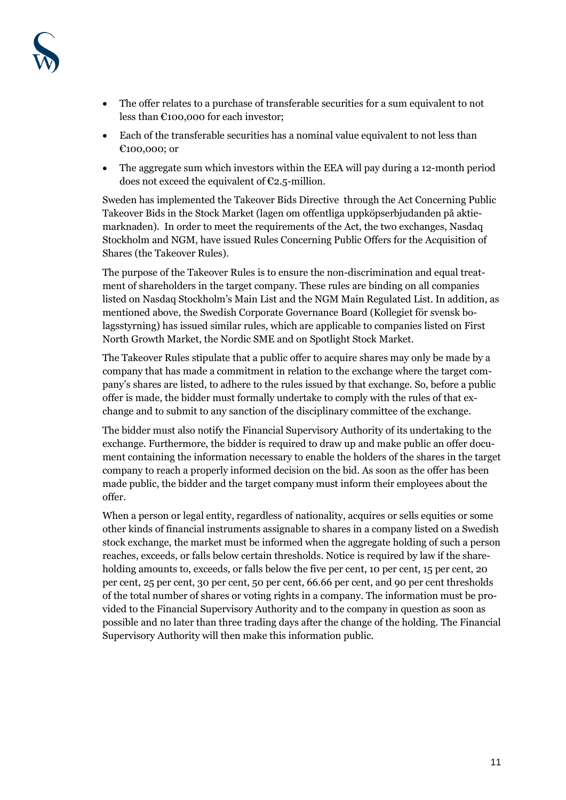

- The offer relates to a purchase of transferable securities for a sum equivalent to not less than €100,000 for each investor;
- Each of the transferable securities has a nominal value equivalent to not less than €100,000; or
- The aggregate sum which investors within the EEA will pay during a 12-month period does not exceed the equivalent of  $C_{2.5}$ -million.

Sweden has implemented the Takeover Bids Directive through the Act Concerning Public Takeover Bids in the Stock Market (lagen om offentliga uppköpserbjudanden på aktiemarknaden). In order to meet the requirements of the Act, the two exchanges, Nasdaq Stockholm and NGM, have issued Rules Concerning Public Offers for the Acquisition of Shares (the Takeover Rules).

The purpose of the Takeover Rules is to ensure the non-discrimination and equal treatment of shareholders in the target company. These rules are binding on all companies listed on Nasdaq Stockholm's Main List and the NGM Main Regulated List. In addition, as mentioned above, the Swedish Corporate Governance Board (Kollegiet för svensk bolagsstyrning) has issued similar rules, which are applicable to companies listed on First North Growth Market, the Nordic SME and on Spotlight Stock Market.

The Takeover Rules stipulate that a public offer to acquire shares may only be made by a company that has made a commitment in relation to the exchange where the target company's shares are listed, to adhere to the rules issued by that exchange. So, before a public offer is made, the bidder must formally undertake to comply with the rules of that exchange and to submit to any sanction of the disciplinary committee of the exchange.

The bidder must also notify the Financial Supervisory Authority of its undertaking to the exchange. Furthermore, the bidder is required to draw up and make public an offer document containing the information necessary to enable the holders of the shares in the target company to reach a properly informed decision on the bid. As soon as the offer has been made public, the bidder and the target company must inform their employees about the offer.

When a person or legal entity, regardless of nationality, acquires or sells equities or some other kinds of financial instruments assignable to shares in a company listed on a Swedish stock exchange, the market must be informed when the aggregate holding of such a person reaches, exceeds, or falls below certain thresholds. Notice is required by law if the shareholding amounts to, exceeds, or falls below the five per cent, 10 per cent, 15 per cent, 20 per cent, 25 per cent, 30 per cent, 50 per cent, 66.66 per cent, and 90 per cent thresholds of the total number of shares or voting rights in a company. The information must be provided to the Financial Supervisory Authority and to the company in question as soon as possible and no later than three trading days after the change of the holding. The Financial Supervisory Authority will then make this information public.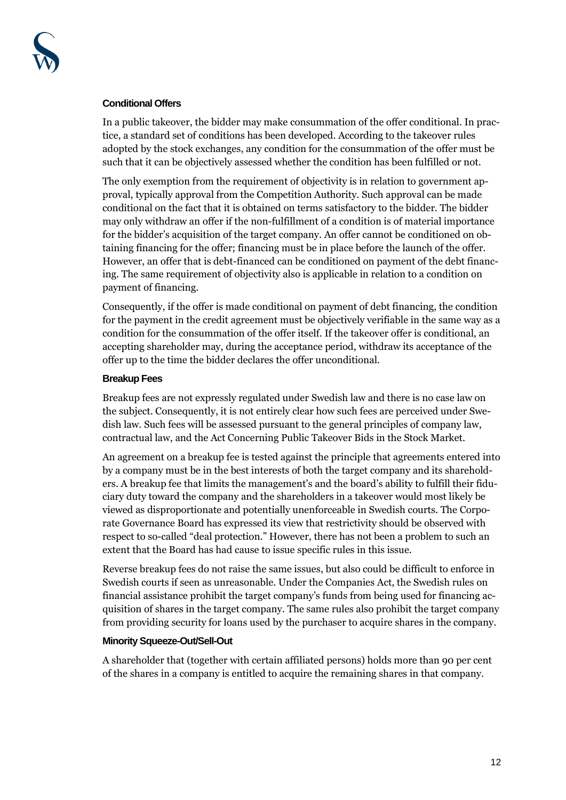#### **Conditional Offers**

In a public takeover, the bidder may make consummation of the offer conditional. In practice, a standard set of conditions has been developed. According to the takeover rules adopted by the stock exchanges, any condition for the consummation of the offer must be such that it can be objectively assessed whether the condition has been fulfilled or not.

The only exemption from the requirement of objectivity is in relation to government approval, typically approval from the Competition Authority. Such approval can be made conditional on the fact that it is obtained on terms satisfactory to the bidder. The bidder may only withdraw an offer if the non-fulfillment of a condition is of material importance for the bidder's acquisition of the target company. An offer cannot be conditioned on obtaining financing for the offer; financing must be in place before the launch of the offer. However, an offer that is debt-financed can be conditioned on payment of the debt financing. The same requirement of objectivity also is applicable in relation to a condition on payment of financing.

Consequently, if the offer is made conditional on payment of debt financing, the condition for the payment in the credit agreement must be objectively verifiable in the same way as a condition for the consummation of the offer itself. If the takeover offer is conditional, an accepting shareholder may, during the acceptance period, withdraw its acceptance of the offer up to the time the bidder declares the offer unconditional.

#### **Breakup Fees**

Breakup fees are not expressly regulated under Swedish law and there is no case law on the subject. Consequently, it is not entirely clear how such fees are perceived under Swedish law. Such fees will be assessed pursuant to the general principles of company law, contractual law, and the Act Concerning Public Takeover Bids in the Stock Market.

An agreement on a breakup fee is tested against the principle that agreements entered into by a company must be in the best interests of both the target company and its shareholders. A breakup fee that limits the management's and the board's ability to fulfill their fiduciary duty toward the company and the shareholders in a takeover would most likely be viewed as disproportionate and potentially unenforceable in Swedish courts. The Corporate Governance Board has expressed its view that restrictivity should be observed with respect to so-called "deal protection." However, there has not been a problem to such an extent that the Board has had cause to issue specific rules in this issue.

Reverse breakup fees do not raise the same issues, but also could be difficult to enforce in Swedish courts if seen as unreasonable. Under the Companies Act, the Swedish rules on financial assistance prohibit the target company's funds from being used for financing acquisition of shares in the target company. The same rules also prohibit the target company from providing security for loans used by the purchaser to acquire shares in the company.

#### **Minority Squeeze-Out/Sell-Out**

A shareholder that (together with certain affiliated persons) holds more than 90 per cent of the shares in a company is entitled to acquire the remaining shares in that company.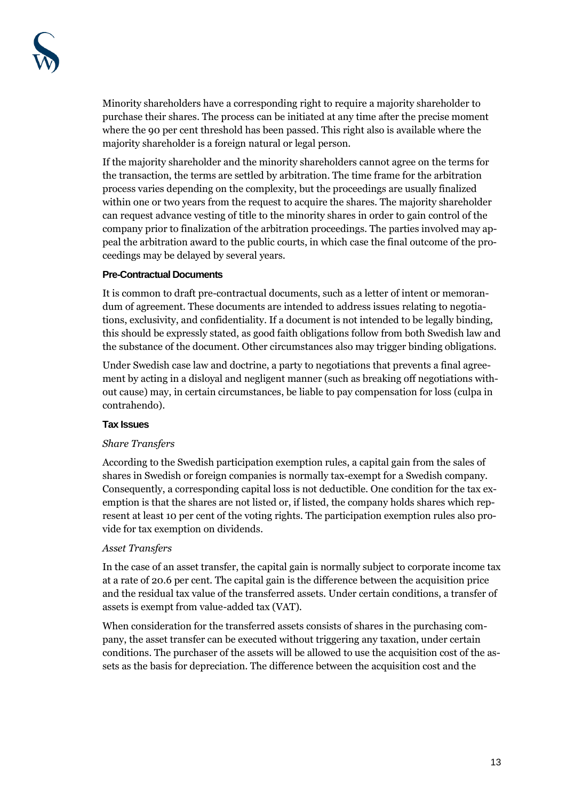Minority shareholders have a corresponding right to require a majority shareholder to purchase their shares. The process can be initiated at any time after the precise moment where the 90 per cent threshold has been passed. This right also is available where the majority shareholder is a foreign natural or legal person.

If the majority shareholder and the minority shareholders cannot agree on the terms for the transaction, the terms are settled by arbitration. The time frame for the arbitration process varies depending on the complexity, but the proceedings are usually finalized within one or two years from the request to acquire the shares. The majority shareholder can request advance vesting of title to the minority shares in order to gain control of the company prior to finalization of the arbitration proceedings. The parties involved may appeal the arbitration award to the public courts, in which case the final outcome of the proceedings may be delayed by several years.

#### **Pre-Contractual Documents**

It is common to draft pre-contractual documents, such as a letter of intent or memorandum of agreement. These documents are intended to address issues relating to negotiations, exclusivity, and confidentiality. If a document is not intended to be legally binding, this should be expressly stated, as good faith obligations follow from both Swedish law and the substance of the document. Other circumstances also may trigger binding obligations.

Under Swedish case law and doctrine, a party to negotiations that prevents a final agreement by acting in a disloyal and negligent manner (such as breaking off negotiations without cause) may, in certain circumstances, be liable to pay compensation for loss (culpa in contrahendo).

## **Tax Issues**

## *Share Transfers*

According to the Swedish participation exemption rules, a capital gain from the sales of shares in Swedish or foreign companies is normally tax-exempt for a Swedish company. Consequently, a corresponding capital loss is not deductible. One condition for the tax exemption is that the shares are not listed or, if listed, the company holds shares which represent at least 10 per cent of the voting rights. The participation exemption rules also provide for tax exemption on dividends.

## *Asset Transfers*

In the case of an asset transfer, the capital gain is normally subject to corporate income tax at a rate of 20.6 per cent. The capital gain is the difference between the acquisition price and the residual tax value of the transferred assets. Under certain conditions, a transfer of assets is exempt from value-added tax (VAT).

When consideration for the transferred assets consists of shares in the purchasing company, the asset transfer can be executed without triggering any taxation, under certain conditions. The purchaser of the assets will be allowed to use the acquisition cost of the assets as the basis for depreciation. The difference between the acquisition cost and the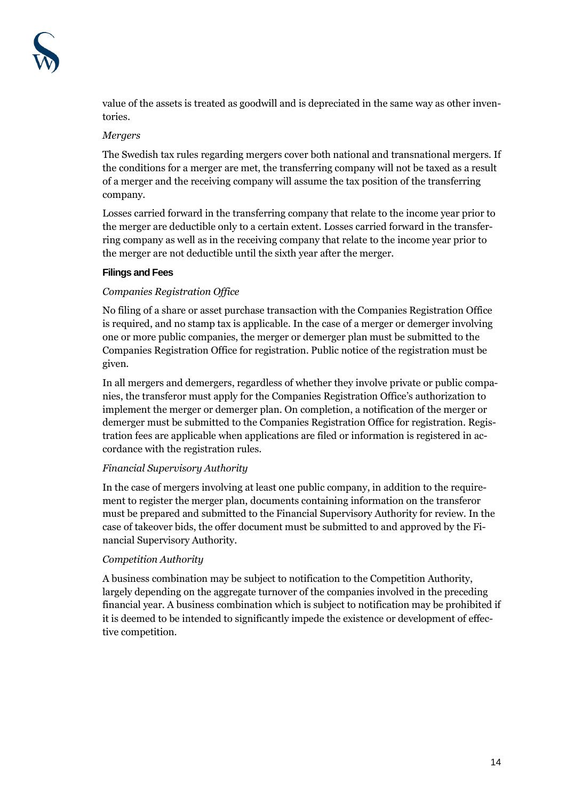

value of the assets is treated as goodwill and is depreciated in the same way as other inventories.

#### *Mergers*

The Swedish tax rules regarding mergers cover both national and transnational mergers. If the conditions for a merger are met, the transferring company will not be taxed as a result of a merger and the receiving company will assume the tax position of the transferring company.

Losses carried forward in the transferring company that relate to the income year prior to the merger are deductible only to a certain extent. Losses carried forward in the transferring company as well as in the receiving company that relate to the income year prior to the merger are not deductible until the sixth year after the merger.

#### **Filings and Fees**

## *Companies Registration Office*

No filing of a share or asset purchase transaction with the Companies Registration Office is required, and no stamp tax is applicable. In the case of a merger or demerger involving one or more public companies, the merger or demerger plan must be submitted to the Companies Registration Office for registration. Public notice of the registration must be given.

In all mergers and demergers, regardless of whether they involve private or public companies, the transferor must apply for the Companies Registration Office's authorization to implement the merger or demerger plan. On completion, a notification of the merger or demerger must be submitted to the Companies Registration Office for registration. Registration fees are applicable when applications are filed or information is registered in accordance with the registration rules.

## *Financial Supervisory Authority*

In the case of mergers involving at least one public company, in addition to the requirement to register the merger plan, documents containing information on the transferor must be prepared and submitted to the Financial Supervisory Authority for review. In the case of takeover bids, the offer document must be submitted to and approved by the Financial Supervisory Authority.

## *Competition Authority*

A business combination may be subject to notification to the Competition Authority, largely depending on the aggregate turnover of the companies involved in the preceding financial year. A business combination which is subject to notification may be prohibited if it is deemed to be intended to significantly impede the existence or development of effective competition.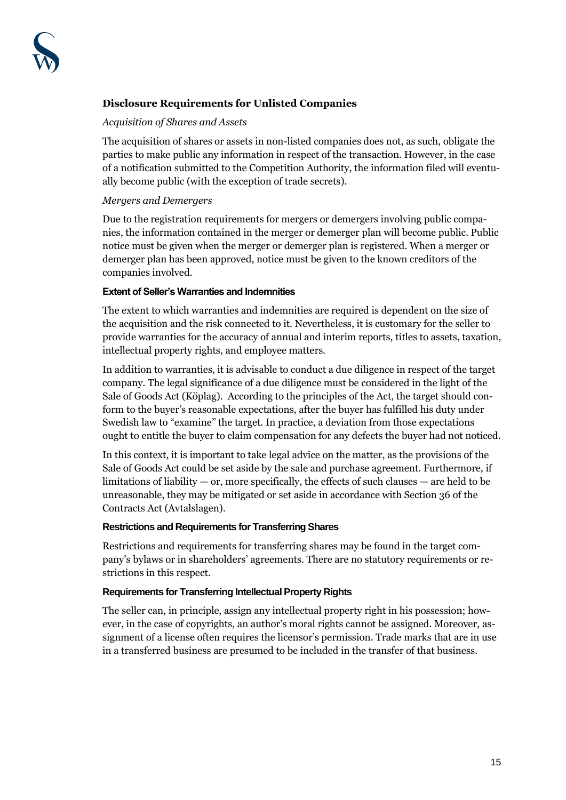# **Disclosure Requirements for Unlisted Companies**

#### *Acquisition of Shares and Assets*

The acquisition of shares or assets in non-listed companies does not, as such, obligate the parties to make public any information in respect of the transaction. However, in the case of a notification submitted to the Competition Authority, the information filed will eventually become public (with the exception of trade secrets).

#### *Mergers and Demergers*

Due to the registration requirements for mergers or demergers involving public companies, the information contained in the merger or demerger plan will become public. Public notice must be given when the merger or demerger plan is registered. When a merger or demerger plan has been approved, notice must be given to the known creditors of the companies involved.

#### **Extent of Seller's Warranties and Indemnities**

The extent to which warranties and indemnities are required is dependent on the size of the acquisition and the risk connected to it. Nevertheless, it is customary for the seller to provide warranties for the accuracy of annual and interim reports, titles to assets, taxation, intellectual property rights, and employee matters.

In addition to warranties, it is advisable to conduct a due diligence in respect of the target company. The legal significance of a due diligence must be considered in the light of the Sale of Goods Act (Köplag). According to the principles of the Act, the target should conform to the buyer's reasonable expectations, after the buyer has fulfilled his duty under Swedish law to "examine" the target. In practice, a deviation from those expectations ought to entitle the buyer to claim compensation for any defects the buyer had not noticed.

In this context, it is important to take legal advice on the matter, as the provisions of the Sale of Goods Act could be set aside by the sale and purchase agreement. Furthermore, if limitations of liability  $-$  or, more specifically, the effects of such clauses  $-$  are held to be unreasonable, they may be mitigated or set aside in accordance with Section 36 of the Contracts Act (Avtalslagen).

## **Restrictions and Requirements for Transferring Shares**

Restrictions and requirements for transferring shares may be found in the target company's bylaws or in shareholders' agreements. There are no statutory requirements or restrictions in this respect.

#### **Requirements for Transferring Intellectual Property Rights**

The seller can, in principle, assign any intellectual property right in his possession; however, in the case of copyrights, an author's moral rights cannot be assigned. Moreover, assignment of a license often requires the licensor's permission. Trade marks that are in use in a transferred business are presumed to be included in the transfer of that business.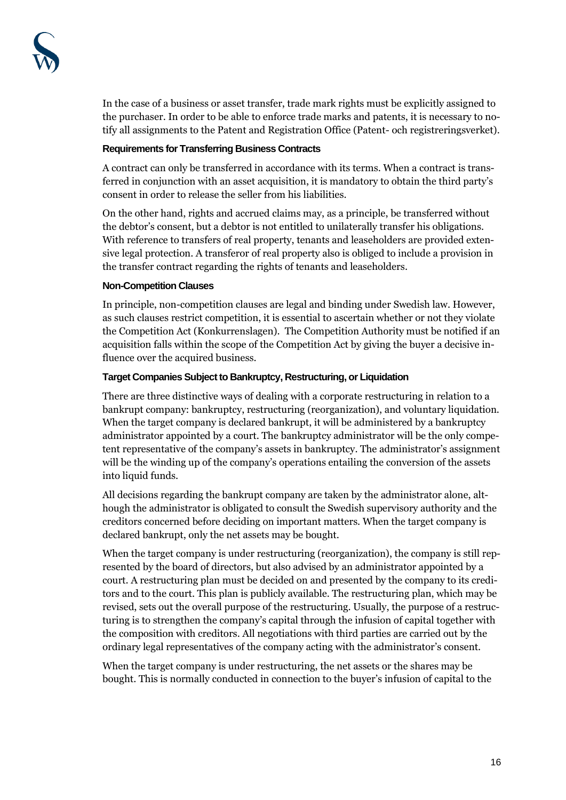In the case of a business or asset transfer, trade mark rights must be explicitly assigned to the purchaser. In order to be able to enforce trade marks and patents, it is necessary to notify all assignments to the Patent and Registration Office (Patent- och registreringsverket).

## **Requirements for Transferring Business Contracts**

A contract can only be transferred in accordance with its terms. When a contract is transferred in conjunction with an asset acquisition, it is mandatory to obtain the third party's consent in order to release the seller from his liabilities.

On the other hand, rights and accrued claims may, as a principle, be transferred without the debtor's consent, but a debtor is not entitled to unilaterally transfer his obligations. With reference to transfers of real property, tenants and leaseholders are provided extensive legal protection. A transferor of real property also is obliged to include a provision in the transfer contract regarding the rights of tenants and leaseholders.

# **Non-Competition Clauses**

In principle, non-competition clauses are legal and binding under Swedish law. However, as such clauses restrict competition, it is essential to ascertain whether or not they violate the Competition Act (Konkurrenslagen). The Competition Authority must be notified if an acquisition falls within the scope of the Competition Act by giving the buyer a decisive influence over the acquired business.

# **Target Companies Subject to Bankruptcy, Restructuring, or Liquidation**

There are three distinctive ways of dealing with a corporate restructuring in relation to a bankrupt company: bankruptcy, restructuring (reorganization), and voluntary liquidation. When the target company is declared bankrupt, it will be administered by a bankruptcy administrator appointed by a court. The bankruptcy administrator will be the only competent representative of the company's assets in bankruptcy. The administrator's assignment will be the winding up of the company's operations entailing the conversion of the assets into liquid funds.

All decisions regarding the bankrupt company are taken by the administrator alone, although the administrator is obligated to consult the Swedish supervisory authority and the creditors concerned before deciding on important matters. When the target company is declared bankrupt, only the net assets may be bought.

When the target company is under restructuring (reorganization), the company is still represented by the board of directors, but also advised by an administrator appointed by a court. A restructuring plan must be decided on and presented by the company to its creditors and to the court. This plan is publicly available. The restructuring plan, which may be revised, sets out the overall purpose of the restructuring. Usually, the purpose of a restructuring is to strengthen the company's capital through the infusion of capital together with the composition with creditors. All negotiations with third parties are carried out by the ordinary legal representatives of the company acting with the administrator's consent.

When the target company is under restructuring, the net assets or the shares may be bought. This is normally conducted in connection to the buyer's infusion of capital to the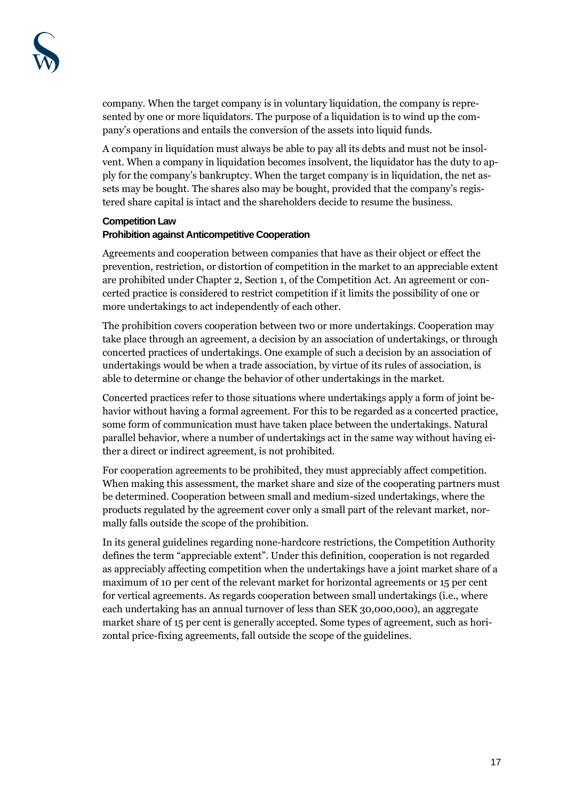company. When the target company is in voluntary liquidation, the company is represented by one or more liquidators. The purpose of a liquidation is to wind up the company's operations and entails the conversion of the assets into liquid funds.

A company in liquidation must always be able to pay all its debts and must not be insolvent. When a company in liquidation becomes insolvent, the liquidator has the duty to apply for the company's bankruptcy. When the target company is in liquidation, the net assets may be bought. The shares also may be bought, provided that the company's registered share capital is intact and the shareholders decide to resume the business.

#### **Competition Law Prohibition against Anticompetitive Cooperation**

Agreements and cooperation between companies that have as their object or effect the prevention, restriction, or distortion of competition in the market to an appreciable extent are prohibited under Chapter 2, Section 1, of the Competition Act. An agreement or concerted practice is considered to restrict competition if it limits the possibility of one or more undertakings to act independently of each other.

The prohibition covers cooperation between two or more undertakings. Cooperation may take place through an agreement, a decision by an association of undertakings, or through concerted practices of undertakings. One example of such a decision by an association of undertakings would be when a trade association, by virtue of its rules of association, is able to determine or change the behavior of other undertakings in the market.

Concerted practices refer to those situations where undertakings apply a form of joint behavior without having a formal agreement. For this to be regarded as a concerted practice, some form of communication must have taken place between the undertakings. Natural parallel behavior, where a number of undertakings act in the same way without having either a direct or indirect agreement, is not prohibited.

For cooperation agreements to be prohibited, they must appreciably affect competition. When making this assessment, the market share and size of the cooperating partners must be determined. Cooperation between small and medium-sized undertakings, where the products regulated by the agreement cover only a small part of the relevant market, normally falls outside the scope of the prohibition.

In its general guidelines regarding none-hardcore restrictions, the Competition Authority defines the term "appreciable extent". Under this definition, cooperation is not regarded as appreciably affecting competition when the undertakings have a joint market share of a maximum of 10 per cent of the relevant market for horizontal agreements or 15 per cent for vertical agreements. As regards cooperation between small undertakings (i.e., where each undertaking has an annual turnover of less than SEK 30,000,000), an aggregate market share of 15 per cent is generally accepted. Some types of agreement, such as horizontal price-fixing agreements, fall outside the scope of the guidelines.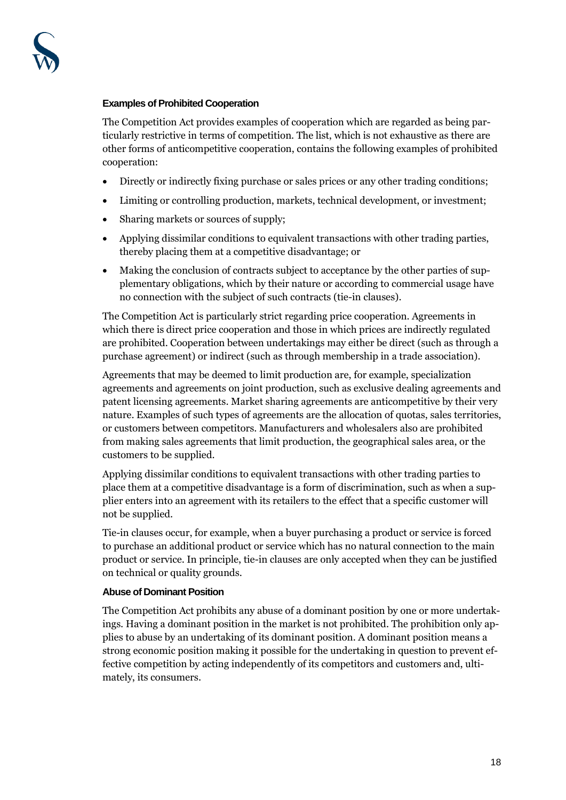#### **Examples of Prohibited Cooperation**

The Competition Act provides examples of cooperation which are regarded as being particularly restrictive in terms of competition. The list, which is not exhaustive as there are other forms of anticompetitive cooperation, contains the following examples of prohibited cooperation:

- Directly or indirectly fixing purchase or sales prices or any other trading conditions;
- Limiting or controlling production, markets, technical development, or investment;
- Sharing markets or sources of supply;
- Applying dissimilar conditions to equivalent transactions with other trading parties, thereby placing them at a competitive disadvantage; or
- Making the conclusion of contracts subject to acceptance by the other parties of supplementary obligations, which by their nature or according to commercial usage have no connection with the subject of such contracts (tie-in clauses).

The Competition Act is particularly strict regarding price cooperation. Agreements in which there is direct price cooperation and those in which prices are indirectly regulated are prohibited. Cooperation between undertakings may either be direct (such as through a purchase agreement) or indirect (such as through membership in a trade association).

Agreements that may be deemed to limit production are, for example, specialization agreements and agreements on joint production, such as exclusive dealing agreements and patent licensing agreements. Market sharing agreements are anticompetitive by their very nature. Examples of such types of agreements are the allocation of quotas, sales territories, or customers between competitors. Manufacturers and wholesalers also are prohibited from making sales agreements that limit production, the geographical sales area, or the customers to be supplied.

Applying dissimilar conditions to equivalent transactions with other trading parties to place them at a competitive disadvantage is a form of discrimination, such as when a supplier enters into an agreement with its retailers to the effect that a specific customer will not be supplied.

Tie-in clauses occur, for example, when a buyer purchasing a product or service is forced to purchase an additional product or service which has no natural connection to the main product or service. In principle, tie-in clauses are only accepted when they can be justified on technical or quality grounds.

#### **Abuse of Dominant Position**

The Competition Act prohibits any abuse of a dominant position by one or more undertakings. Having a dominant position in the market is not prohibited. The prohibition only applies to abuse by an undertaking of its dominant position. A dominant position means a strong economic position making it possible for the undertaking in question to prevent effective competition by acting independently of its competitors and customers and, ultimately, its consumers.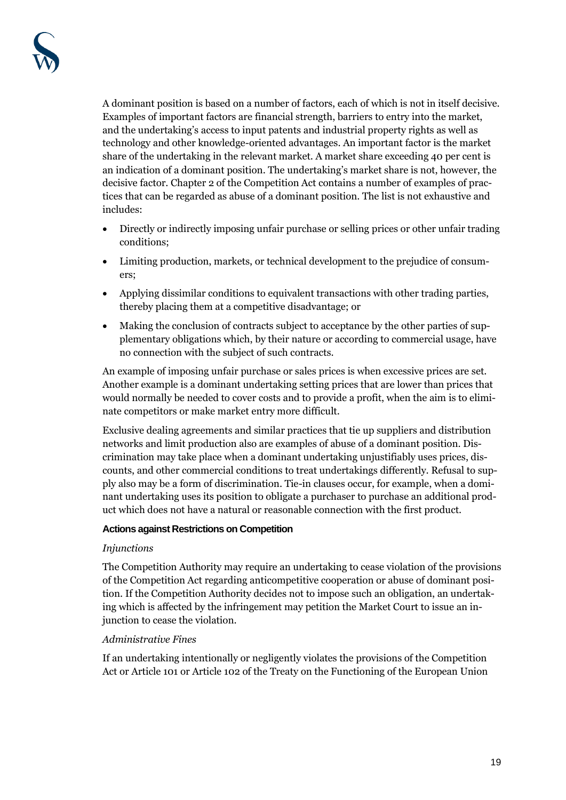A dominant position is based on a number of factors, each of which is not in itself decisive. Examples of important factors are financial strength, barriers to entry into the market, and the undertaking's access to input patents and industrial property rights as well as technology and other knowledge-oriented advantages. An important factor is the market share of the undertaking in the relevant market. A market share exceeding 40 per cent is an indication of a dominant position. The undertaking's market share is not, however, the decisive factor. Chapter 2 of the Competition Act contains a number of examples of practices that can be regarded as abuse of a dominant position. The list is not exhaustive and includes:

- Directly or indirectly imposing unfair purchase or selling prices or other unfair trading conditions;
- Limiting production, markets, or technical development to the prejudice of consumers;
- Applying dissimilar conditions to equivalent transactions with other trading parties, thereby placing them at a competitive disadvantage; or
- Making the conclusion of contracts subject to acceptance by the other parties of supplementary obligations which, by their nature or according to commercial usage, have no connection with the subject of such contracts.

An example of imposing unfair purchase or sales prices is when excessive prices are set. Another example is a dominant undertaking setting prices that are lower than prices that would normally be needed to cover costs and to provide a profit, when the aim is to eliminate competitors or make market entry more difficult.

Exclusive dealing agreements and similar practices that tie up suppliers and distribution networks and limit production also are examples of abuse of a dominant position. Discrimination may take place when a dominant undertaking unjustifiably uses prices, discounts, and other commercial conditions to treat undertakings differently. Refusal to supply also may be a form of discrimination. Tie-in clauses occur, for example, when a dominant undertaking uses its position to obligate a purchaser to purchase an additional product which does not have a natural or reasonable connection with the first product.

## **Actions against Restrictions on Competition**

## *Injunctions*

The Competition Authority may require an undertaking to cease violation of the provisions of the Competition Act regarding anticompetitive cooperation or abuse of dominant position. If the Competition Authority decides not to impose such an obligation, an undertaking which is affected by the infringement may petition the Market Court to issue an injunction to cease the violation.

# *Administrative Fines*

If an undertaking intentionally or negligently violates the provisions of the Competition Act or Article 101 or Article 102 of the Treaty on the Functioning of the European Union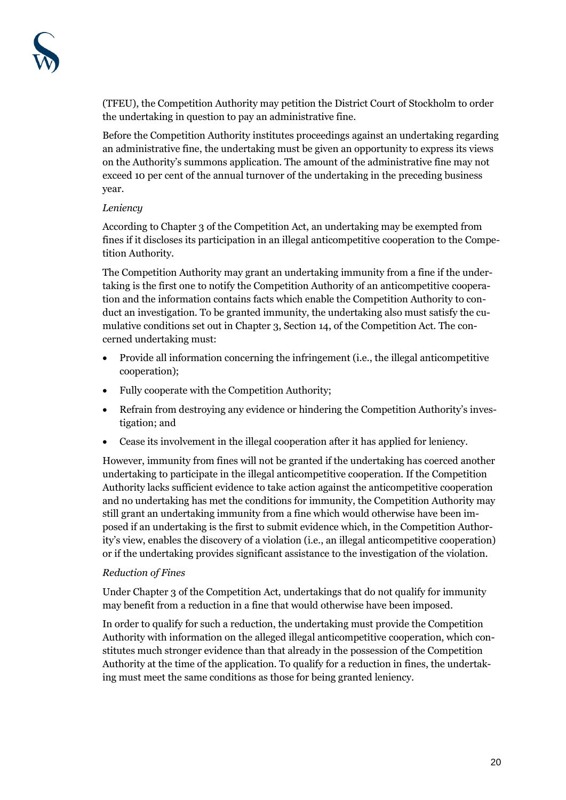(TFEU), the Competition Authority may petition the District Court of Stockholm to order the undertaking in question to pay an administrative fine.

Before the Competition Authority institutes proceedings against an undertaking regarding an administrative fine, the undertaking must be given an opportunity to express its views on the Authority's summons application. The amount of the administrative fine may not exceed 10 per cent of the annual turnover of the undertaking in the preceding business year.

# *Leniency*

According to Chapter 3 of the Competition Act, an undertaking may be exempted from fines if it discloses its participation in an illegal anticompetitive cooperation to the Competition Authority.

The Competition Authority may grant an undertaking immunity from a fine if the undertaking is the first one to notify the Competition Authority of an anticompetitive cooperation and the information contains facts which enable the Competition Authority to conduct an investigation. To be granted immunity, the undertaking also must satisfy the cumulative conditions set out in Chapter 3, Section 14, of the Competition Act. The concerned undertaking must:

- Provide all information concerning the infringement (i.e., the illegal anticompetitive cooperation);
- Fully cooperate with the Competition Authority;
- Refrain from destroying any evidence or hindering the Competition Authority's investigation; and
- Cease its involvement in the illegal cooperation after it has applied for leniency.

However, immunity from fines will not be granted if the undertaking has coerced another undertaking to participate in the illegal anticompetitive cooperation. If the Competition Authority lacks sufficient evidence to take action against the anticompetitive cooperation and no undertaking has met the conditions for immunity, the Competition Authority may still grant an undertaking immunity from a fine which would otherwise have been imposed if an undertaking is the first to submit evidence which, in the Competition Authority's view, enables the discovery of a violation (i.e., an illegal anticompetitive cooperation) or if the undertaking provides significant assistance to the investigation of the violation.

# *Reduction of Fines*

Under Chapter 3 of the Competition Act, undertakings that do not qualify for immunity may benefit from a reduction in a fine that would otherwise have been imposed.

In order to qualify for such a reduction, the undertaking must provide the Competition Authority with information on the alleged illegal anticompetitive cooperation, which constitutes much stronger evidence than that already in the possession of the Competition Authority at the time of the application. To qualify for a reduction in fines, the undertaking must meet the same conditions as those for being granted leniency.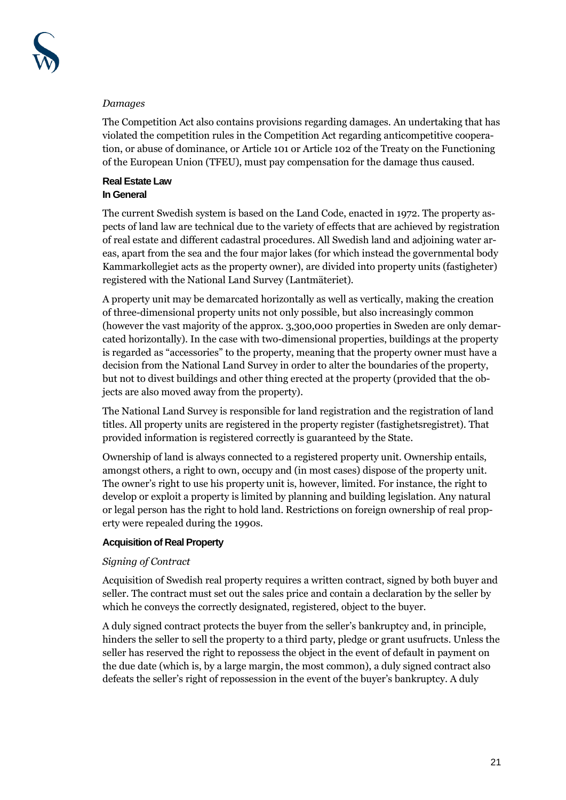## *Damages*

The Competition Act also contains provisions regarding damages. An undertaking that has violated the competition rules in the Competition Act regarding anticompetitive cooperation, or abuse of dominance, or Article 101 or Article 102 of the Treaty on the Functioning of the European Union (TFEU), must pay compensation for the damage thus caused.

# **Real Estate Law In General**

The current Swedish system is based on the Land Code, enacted in 1972. The property aspects of land law are technical due to the variety of effects that are achieved by registration of real estate and different cadastral procedures. All Swedish land and adjoining water areas, apart from the sea and the four major lakes (for which instead the governmental body Kammarkollegiet acts as the property owner), are divided into property units (fastigheter) registered with the National Land Survey (Lantmäteriet).

A property unit may be demarcated horizontally as well as vertically, making the creation of three-dimensional property units not only possible, but also increasingly common (however the vast majority of the approx. 3,300,000 properties in Sweden are only demarcated horizontally). In the case with two-dimensional properties, buildings at the property is regarded as "accessories" to the property, meaning that the property owner must have a decision from the National Land Survey in order to alter the boundaries of the property, but not to divest buildings and other thing erected at the property (provided that the objects are also moved away from the property).

The National Land Survey is responsible for land registration and the registration of land titles. All property units are registered in the property register (fastighetsregistret). That provided information is registered correctly is guaranteed by the State.

Ownership of land is always connected to a registered property unit. Ownership entails, amongst others, a right to own, occupy and (in most cases) dispose of the property unit. The owner's right to use his property unit is, however, limited. For instance, the right to develop or exploit a property is limited by planning and building legislation. Any natural or legal person has the right to hold land. Restrictions on foreign ownership of real property were repealed during the 1990s.

# **Acquisition of Real Property**

# *Signing of Contract*

Acquisition of Swedish real property requires a written contract, signed by both buyer and seller. The contract must set out the sales price and contain a declaration by the seller by which he conveys the correctly designated, registered, object to the buyer.

A duly signed contract protects the buyer from the seller's bankruptcy and, in principle, hinders the seller to sell the property to a third party, pledge or grant usufructs. Unless the seller has reserved the right to repossess the object in the event of default in payment on the due date (which is, by a large margin, the most common), a duly signed contract also defeats the seller's right of repossession in the event of the buyer's bankruptcy. A duly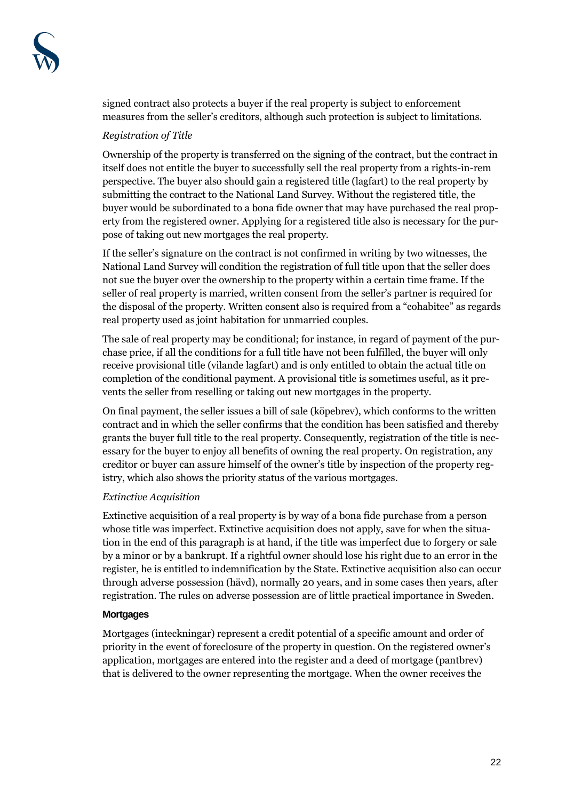signed contract also protects a buyer if the real property is subject to enforcement measures from the seller's creditors, although such protection is subject to limitations.

# *Registration of Title*

Ownership of the property is transferred on the signing of the contract, but the contract in itself does not entitle the buyer to successfully sell the real property from a rights-in-rem perspective. The buyer also should gain a registered title (lagfart) to the real property by submitting the contract to the National Land Survey. Without the registered title, the buyer would be subordinated to a bona fide owner that may have purchased the real property from the registered owner. Applying for a registered title also is necessary for the purpose of taking out new mortgages the real property.

If the seller's signature on the contract is not confirmed in writing by two witnesses, the National Land Survey will condition the registration of full title upon that the seller does not sue the buyer over the ownership to the property within a certain time frame. If the seller of real property is married, written consent from the seller's partner is required for the disposal of the property. Written consent also is required from a "cohabitee" as regards real property used as joint habitation for unmarried couples.

The sale of real property may be conditional; for instance, in regard of payment of the purchase price, if all the conditions for a full title have not been fulfilled, the buyer will only receive provisional title (vilande lagfart) and is only entitled to obtain the actual title on completion of the conditional payment. A provisional title is sometimes useful, as it prevents the seller from reselling or taking out new mortgages in the property.

On final payment, the seller issues a bill of sale (köpebrev), which conforms to the written contract and in which the seller confirms that the condition has been satisfied and thereby grants the buyer full title to the real property. Consequently, registration of the title is necessary for the buyer to enjoy all benefits of owning the real property. On registration, any creditor or buyer can assure himself of the owner's title by inspection of the property registry, which also shows the priority status of the various mortgages.

## *Extinctive Acquisition*

Extinctive acquisition of a real property is by way of a bona fide purchase from a person whose title was imperfect. Extinctive acquisition does not apply, save for when the situation in the end of this paragraph is at hand, if the title was imperfect due to forgery or sale by a minor or by a bankrupt. If a rightful owner should lose his right due to an error in the register, he is entitled to indemnification by the State. Extinctive acquisition also can occur through adverse possession (hävd), normally 20 years, and in some cases then years, after registration. The rules on adverse possession are of little practical importance in Sweden.

## **Mortgages**

Mortgages (inteckningar) represent a credit potential of a specific amount and order of priority in the event of foreclosure of the property in question. On the registered owner's application, mortgages are entered into the register and a deed of mortgage (pantbrev) that is delivered to the owner representing the mortgage. When the owner receives the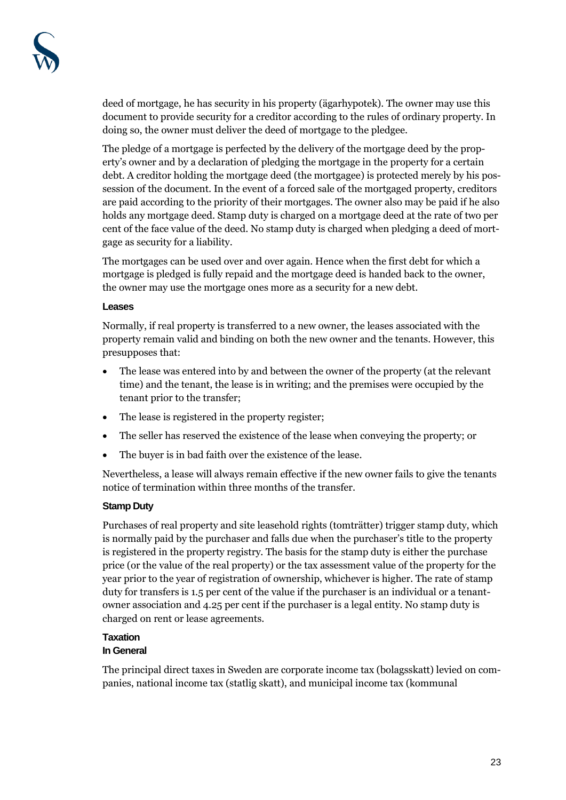deed of mortgage, he has security in his property (ägarhypotek). The owner may use this document to provide security for a creditor according to the rules of ordinary property. In doing so, the owner must deliver the deed of mortgage to the pledgee.

The pledge of a mortgage is perfected by the delivery of the mortgage deed by the property's owner and by a declaration of pledging the mortgage in the property for a certain debt. A creditor holding the mortgage deed (the mortgagee) is protected merely by his possession of the document. In the event of a forced sale of the mortgaged property, creditors are paid according to the priority of their mortgages. The owner also may be paid if he also holds any mortgage deed. Stamp duty is charged on a mortgage deed at the rate of two per cent of the face value of the deed. No stamp duty is charged when pledging a deed of mortgage as security for a liability.

The mortgages can be used over and over again. Hence when the first debt for which a mortgage is pledged is fully repaid and the mortgage deed is handed back to the owner, the owner may use the mortgage ones more as a security for a new debt.

#### **Leases**

Normally, if real property is transferred to a new owner, the leases associated with the property remain valid and binding on both the new owner and the tenants. However, this presupposes that:

- The lease was entered into by and between the owner of the property (at the relevant time) and the tenant, the lease is in writing; and the premises were occupied by the tenant prior to the transfer;
- The lease is registered in the property register;
- The seller has reserved the existence of the lease when conveying the property; or
- The buyer is in bad faith over the existence of the lease.

Nevertheless, a lease will always remain effective if the new owner fails to give the tenants notice of termination within three months of the transfer.

#### **Stamp Duty**

Purchases of real property and site leasehold rights (tomträtter) trigger stamp duty, which is normally paid by the purchaser and falls due when the purchaser's title to the property is registered in the property registry. The basis for the stamp duty is either the purchase price (or the value of the real property) or the tax assessment value of the property for the year prior to the year of registration of ownership, whichever is higher. The rate of stamp duty for transfers is 1.5 per cent of the value if the purchaser is an individual or a tenantowner association and 4.25 per cent if the purchaser is a legal entity. No stamp duty is charged on rent or lease agreements.

# **Taxation**

#### **In General**

The principal direct taxes in Sweden are corporate income tax (bolagsskatt) levied on companies, national income tax (statlig skatt), and municipal income tax (kommunal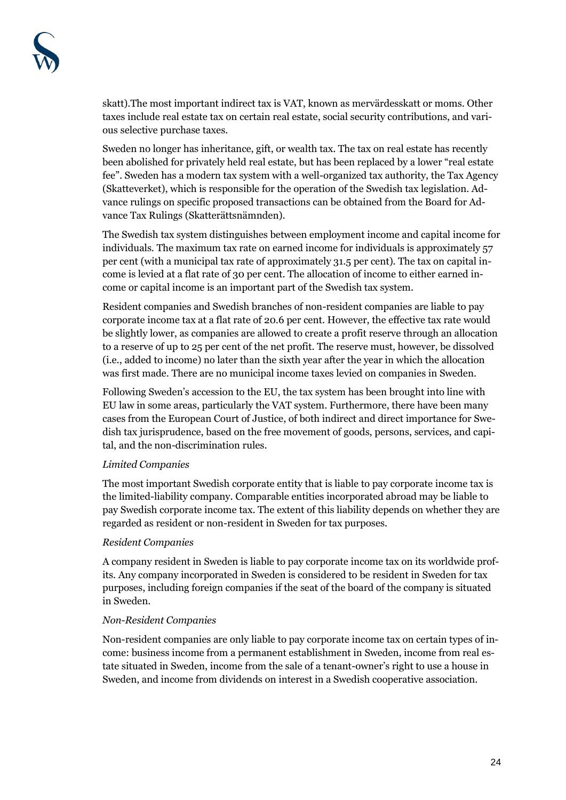skatt).The most important indirect tax is VAT, known as mervärdesskatt or moms. Other taxes include real estate tax on certain real estate, social security contributions, and various selective purchase taxes.

Sweden no longer has inheritance, gift, or wealth tax. The tax on real estate has recently been abolished for privately held real estate, but has been replaced by a lower "real estate fee". Sweden has a modern tax system with a well-organized tax authority, the Tax Agency (Skatteverket), which is responsible for the operation of the Swedish tax legislation. Advance rulings on specific proposed transactions can be obtained from the Board for Advance Tax Rulings (Skatterättsnämnden).

The Swedish tax system distinguishes between employment income and capital income for individuals. The maximum tax rate on earned income for individuals is approximately 57 per cent (with a municipal tax rate of approximately 31.5 per cent). The tax on capital income is levied at a flat rate of 30 per cent. The allocation of income to either earned income or capital income is an important part of the Swedish tax system.

Resident companies and Swedish branches of non-resident companies are liable to pay corporate income tax at a flat rate of 20.6 per cent. However, the effective tax rate would be slightly lower, as companies are allowed to create a profit reserve through an allocation to a reserve of up to 25 per cent of the net profit. The reserve must, however, be dissolved (i.e., added to income) no later than the sixth year after the year in which the allocation was first made. There are no municipal income taxes levied on companies in Sweden.

Following Sweden's accession to the EU, the tax system has been brought into line with EU law in some areas, particularly the VAT system. Furthermore, there have been many cases from the European Court of Justice, of both indirect and direct importance for Swedish tax jurisprudence, based on the free movement of goods, persons, services, and capital, and the non-discrimination rules.

## *Limited Companies*

The most important Swedish corporate entity that is liable to pay corporate income tax is the limited-liability company. Comparable entities incorporated abroad may be liable to pay Swedish corporate income tax. The extent of this liability depends on whether they are regarded as resident or non-resident in Sweden for tax purposes.

## *Resident Companies*

A company resident in Sweden is liable to pay corporate income tax on its worldwide profits. Any company incorporated in Sweden is considered to be resident in Sweden for tax purposes, including foreign companies if the seat of the board of the company is situated in Sweden.

## *Non-Resident Companies*

Non-resident companies are only liable to pay corporate income tax on certain types of income: business income from a permanent establishment in Sweden, income from real estate situated in Sweden, income from the sale of a tenant-owner's right to use a house in Sweden, and income from dividends on interest in a Swedish cooperative association.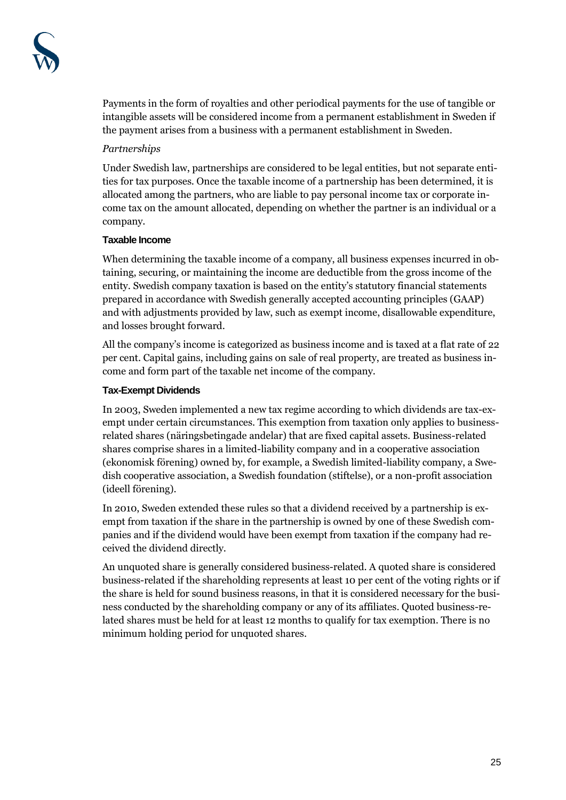Payments in the form of royalties and other periodical payments for the use of tangible or intangible assets will be considered income from a permanent establishment in Sweden if the payment arises from a business with a permanent establishment in Sweden.

## *Partnerships*

Under Swedish law, partnerships are considered to be legal entities, but not separate entities for tax purposes. Once the taxable income of a partnership has been determined, it is allocated among the partners, who are liable to pay personal income tax or corporate income tax on the amount allocated, depending on whether the partner is an individual or a company.

#### **Taxable Income**

When determining the taxable income of a company, all business expenses incurred in obtaining, securing, or maintaining the income are deductible from the gross income of the entity. Swedish company taxation is based on the entity's statutory financial statements prepared in accordance with Swedish generally accepted accounting principles (GAAP) and with adjustments provided by law, such as exempt income, disallowable expenditure, and losses brought forward.

All the company's income is categorized as business income and is taxed at a flat rate of 22 per cent. Capital gains, including gains on sale of real property, are treated as business income and form part of the taxable net income of the company.

## **Tax-Exempt Dividends**

In 2003, Sweden implemented a new tax regime according to which dividends are tax-exempt under certain circumstances. This exemption from taxation only applies to businessrelated shares (näringsbetingade andelar) that are fixed capital assets. Business-related shares comprise shares in a limited-liability company and in a cooperative association (ekonomisk förening) owned by, for example, a Swedish limited-liability company, a Swedish cooperative association, a Swedish foundation (stiftelse), or a non-profit association (ideell förening).

In 2010, Sweden extended these rules so that a dividend received by a partnership is exempt from taxation if the share in the partnership is owned by one of these Swedish companies and if the dividend would have been exempt from taxation if the company had received the dividend directly.

An unquoted share is generally considered business-related. A quoted share is considered business-related if the shareholding represents at least 10 per cent of the voting rights or if the share is held for sound business reasons, in that it is considered necessary for the business conducted by the shareholding company or any of its affiliates. Quoted business-related shares must be held for at least 12 months to qualify for tax exemption. There is no minimum holding period for unquoted shares.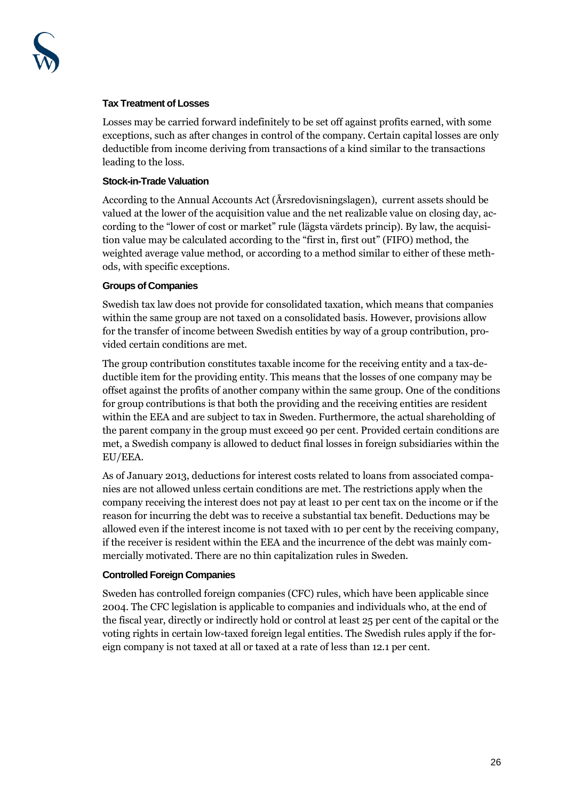

#### **Tax Treatment of Losses**

Losses may be carried forward indefinitely to be set off against profits earned, with some exceptions, such as after changes in control of the company. Certain capital losses are only deductible from income deriving from transactions of a kind similar to the transactions leading to the loss.

#### **Stock-in-Trade Valuation**

According to the Annual Accounts Act (Årsredovisningslagen), current assets should be valued at the lower of the acquisition value and the net realizable value on closing day, according to the "lower of cost or market" rule (lägsta värdets princip). By law, the acquisition value may be calculated according to the "first in, first out" (FIFO) method, the weighted average value method, or according to a method similar to either of these methods, with specific exceptions.

## **Groups of Companies**

Swedish tax law does not provide for consolidated taxation, which means that companies within the same group are not taxed on a consolidated basis. However, provisions allow for the transfer of income between Swedish entities by way of a group contribution, provided certain conditions are met.

The group contribution constitutes taxable income for the receiving entity and a tax-deductible item for the providing entity. This means that the losses of one company may be offset against the profits of another company within the same group. One of the conditions for group contributions is that both the providing and the receiving entities are resident within the EEA and are subject to tax in Sweden. Furthermore, the actual shareholding of the parent company in the group must exceed 90 per cent. Provided certain conditions are met, a Swedish company is allowed to deduct final losses in foreign subsidiaries within the EU/EEA.

As of January 2013, deductions for interest costs related to loans from associated companies are not allowed unless certain conditions are met. The restrictions apply when the company receiving the interest does not pay at least 10 per cent tax on the income or if the reason for incurring the debt was to receive a substantial tax benefit. Deductions may be allowed even if the interest income is not taxed with 10 per cent by the receiving company, if the receiver is resident within the EEA and the incurrence of the debt was mainly commercially motivated. There are no thin capitalization rules in Sweden.

#### **Controlled Foreign Companies**

Sweden has controlled foreign companies (CFC) rules, which have been applicable since 2004. The CFC legislation is applicable to companies and individuals who, at the end of the fiscal year, directly or indirectly hold or control at least 25 per cent of the capital or the voting rights in certain low-taxed foreign legal entities. The Swedish rules apply if the foreign company is not taxed at all or taxed at a rate of less than 12.1 per cent.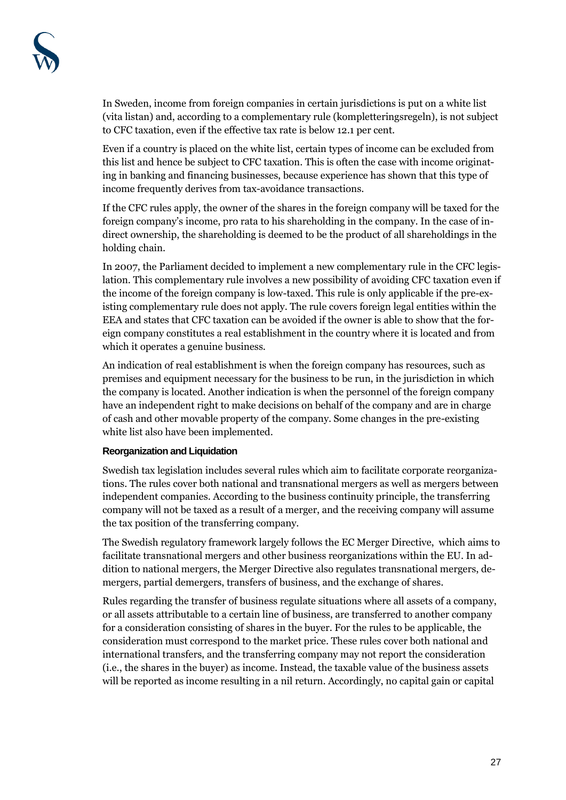In Sweden, income from foreign companies in certain jurisdictions is put on a white list (vita listan) and, according to a complementary rule (kompletteringsregeln), is not subject to CFC taxation, even if the effective tax rate is below 12.1 per cent.

Even if a country is placed on the white list, certain types of income can be excluded from this list and hence be subject to CFC taxation. This is often the case with income originating in banking and financing businesses, because experience has shown that this type of income frequently derives from tax-avoidance transactions.

If the CFC rules apply, the owner of the shares in the foreign company will be taxed for the foreign company's income, pro rata to his shareholding in the company. In the case of indirect ownership, the shareholding is deemed to be the product of all shareholdings in the holding chain.

In 2007, the Parliament decided to implement a new complementary rule in the CFC legislation. This complementary rule involves a new possibility of avoiding CFC taxation even if the income of the foreign company is low-taxed. This rule is only applicable if the pre-existing complementary rule does not apply. The rule covers foreign legal entities within the EEA and states that CFC taxation can be avoided if the owner is able to show that the foreign company constitutes a real establishment in the country where it is located and from which it operates a genuine business.

An indication of real establishment is when the foreign company has resources, such as premises and equipment necessary for the business to be run, in the jurisdiction in which the company is located. Another indication is when the personnel of the foreign company have an independent right to make decisions on behalf of the company and are in charge of cash and other movable property of the company. Some changes in the pre-existing white list also have been implemented.

#### **Reorganization and Liquidation**

Swedish tax legislation includes several rules which aim to facilitate corporate reorganizations. The rules cover both national and transnational mergers as well as mergers between independent companies. According to the business continuity principle, the transferring company will not be taxed as a result of a merger, and the receiving company will assume the tax position of the transferring company.

The Swedish regulatory framework largely follows the EC Merger Directive, which aims to facilitate transnational mergers and other business reorganizations within the EU. In addition to national mergers, the Merger Directive also regulates transnational mergers, demergers, partial demergers, transfers of business, and the exchange of shares.

Rules regarding the transfer of business regulate situations where all assets of a company, or all assets attributable to a certain line of business, are transferred to another company for a consideration consisting of shares in the buyer. For the rules to be applicable, the consideration must correspond to the market price. These rules cover both national and international transfers, and the transferring company may not report the consideration (i.e., the shares in the buyer) as income. Instead, the taxable value of the business assets will be reported as income resulting in a nil return. Accordingly, no capital gain or capital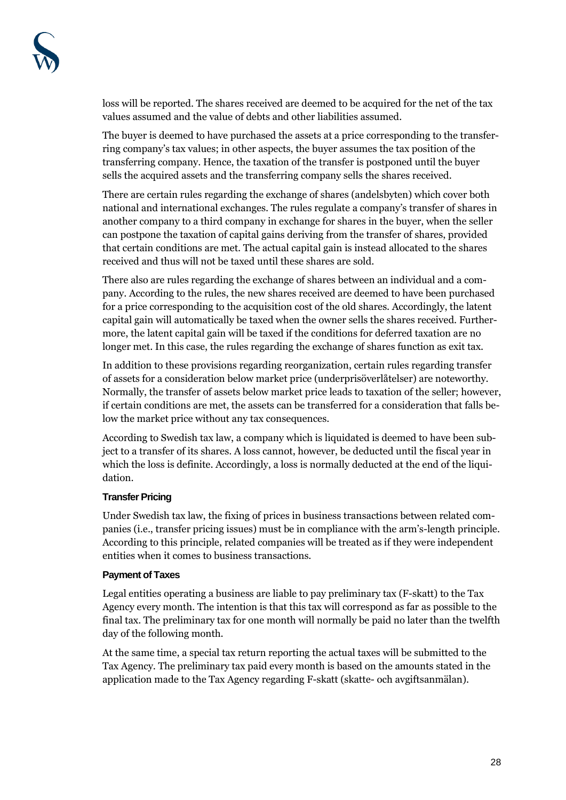loss will be reported. The shares received are deemed to be acquired for the net of the tax values assumed and the value of debts and other liabilities assumed.

The buyer is deemed to have purchased the assets at a price corresponding to the transferring company's tax values; in other aspects, the buyer assumes the tax position of the transferring company. Hence, the taxation of the transfer is postponed until the buyer sells the acquired assets and the transferring company sells the shares received.

There are certain rules regarding the exchange of shares (andelsbyten) which cover both national and international exchanges. The rules regulate a company's transfer of shares in another company to a third company in exchange for shares in the buyer, when the seller can postpone the taxation of capital gains deriving from the transfer of shares, provided that certain conditions are met. The actual capital gain is instead allocated to the shares received and thus will not be taxed until these shares are sold.

There also are rules regarding the exchange of shares between an individual and a company. According to the rules, the new shares received are deemed to have been purchased for a price corresponding to the acquisition cost of the old shares. Accordingly, the latent capital gain will automatically be taxed when the owner sells the shares received. Furthermore, the latent capital gain will be taxed if the conditions for deferred taxation are no longer met. In this case, the rules regarding the exchange of shares function as exit tax.

In addition to these provisions regarding reorganization, certain rules regarding transfer of assets for a consideration below market price (underprisöverlåtelser) are noteworthy. Normally, the transfer of assets below market price leads to taxation of the seller; however, if certain conditions are met, the assets can be transferred for a consideration that falls below the market price without any tax consequences.

According to Swedish tax law, a company which is liquidated is deemed to have been subject to a transfer of its shares. A loss cannot, however, be deducted until the fiscal year in which the loss is definite. Accordingly, a loss is normally deducted at the end of the liquidation.

## **Transfer Pricing**

Under Swedish tax law, the fixing of prices in business transactions between related companies (i.e., transfer pricing issues) must be in compliance with the arm's-length principle. According to this principle, related companies will be treated as if they were independent entities when it comes to business transactions.

## **Payment of Taxes**

Legal entities operating a business are liable to pay preliminary tax (F-skatt) to the Tax Agency every month. The intention is that this tax will correspond as far as possible to the final tax. The preliminary tax for one month will normally be paid no later than the twelfth day of the following month.

At the same time, a special tax return reporting the actual taxes will be submitted to the Tax Agency. The preliminary tax paid every month is based on the amounts stated in the application made to the Tax Agency regarding F-skatt (skatte- och avgiftsanmälan).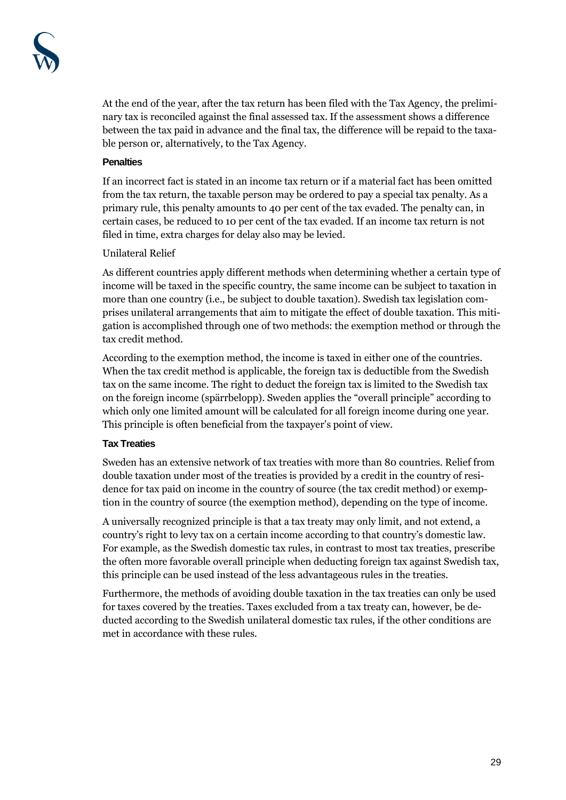At the end of the year, after the tax return has been filed with the Tax Agency, the preliminary tax is reconciled against the final assessed tax. If the assessment shows a difference between the tax paid in advance and the final tax, the difference will be repaid to the taxable person or, alternatively, to the Tax Agency.

## **Penalties**

If an incorrect fact is stated in an income tax return or if a material fact has been omitted from the tax return, the taxable person may be ordered to pay a special tax penalty. As a primary rule, this penalty amounts to 40 per cent of the tax evaded. The penalty can, in certain cases, be reduced to 10 per cent of the tax evaded. If an income tax return is not filed in time, extra charges for delay also may be levied.

# Unilateral Relief

As different countries apply different methods when determining whether a certain type of income will be taxed in the specific country, the same income can be subject to taxation in more than one country (i.e., be subject to double taxation). Swedish tax legislation comprises unilateral arrangements that aim to mitigate the effect of double taxation. This mitigation is accomplished through one of two methods: the exemption method or through the tax credit method.

According to the exemption method, the income is taxed in either one of the countries. When the tax credit method is applicable, the foreign tax is deductible from the Swedish tax on the same income. The right to deduct the foreign tax is limited to the Swedish tax on the foreign income (spärrbelopp). Sweden applies the "overall principle" according to which only one limited amount will be calculated for all foreign income during one year. This principle is often beneficial from the taxpayer's point of view.

## **Tax Treaties**

Sweden has an extensive network of tax treaties with more than 80 countries. Relief from double taxation under most of the treaties is provided by a credit in the country of residence for tax paid on income in the country of source (the tax credit method) or exemption in the country of source (the exemption method), depending on the type of income.

A universally recognized principle is that a tax treaty may only limit, and not extend, a country's right to levy tax on a certain income according to that country's domestic law. For example, as the Swedish domestic tax rules, in contrast to most tax treaties, prescribe the often more favorable overall principle when deducting foreign tax against Swedish tax, this principle can be used instead of the less advantageous rules in the treaties.

Furthermore, the methods of avoiding double taxation in the tax treaties can only be used for taxes covered by the treaties. Taxes excluded from a tax treaty can, however, be deducted according to the Swedish unilateral domestic tax rules, if the other conditions are met in accordance with these rules.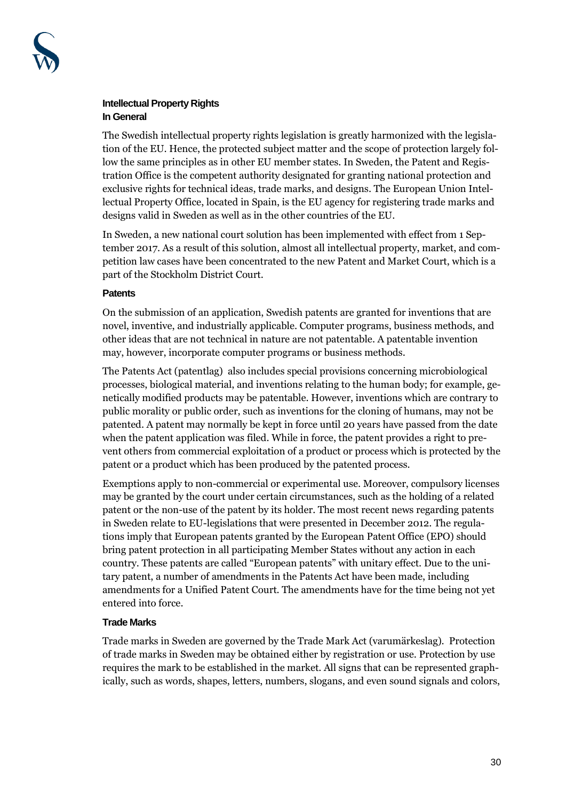

# **Intellectual Property Rights In General**

The Swedish intellectual property rights legislation is greatly harmonized with the legislation of the EU. Hence, the protected subject matter and the scope of protection largely follow the same principles as in other EU member states. In Sweden, the Patent and Registration Office is the competent authority designated for granting national protection and exclusive rights for technical ideas, trade marks, and designs. The European Union Intellectual Property Office, located in Spain, is the EU agency for registering trade marks and designs valid in Sweden as well as in the other countries of the EU.

In Sweden, a new national court solution has been implemented with effect from 1 September 2017. As a result of this solution, almost all intellectual property, market, and competition law cases have been concentrated to the new Patent and Market Court, which is a part of the Stockholm District Court.

## **Patents**

On the submission of an application, Swedish patents are granted for inventions that are novel, inventive, and industrially applicable. Computer programs, business methods, and other ideas that are not technical in nature are not patentable. A patentable invention may, however, incorporate computer programs or business methods.

The Patents Act (patentlag) also includes special provisions concerning microbiological processes, biological material, and inventions relating to the human body; for example, genetically modified products may be patentable. However, inventions which are contrary to public morality or public order, such as inventions for the cloning of humans, may not be patented. A patent may normally be kept in force until 20 years have passed from the date when the patent application was filed. While in force, the patent provides a right to prevent others from commercial exploitation of a product or process which is protected by the patent or a product which has been produced by the patented process.

Exemptions apply to non-commercial or experimental use. Moreover, compulsory licenses may be granted by the court under certain circumstances, such as the holding of a related patent or the non-use of the patent by its holder. The most recent news regarding patents in Sweden relate to EU-legislations that were presented in December 2012. The regulations imply that European patents granted by the European Patent Office (EPO) should bring patent protection in all participating Member States without any action in each country. These patents are called "European patents" with unitary effect. Due to the unitary patent, a number of amendments in the Patents Act have been made, including amendments for a Unified Patent Court. The amendments have for the time being not yet entered into force.

# **Trade Marks**

Trade marks in Sweden are governed by the Trade Mark Act (varumärkeslag). Protection of trade marks in Sweden may be obtained either by registration or use. Protection by use requires the mark to be established in the market. All signs that can be represented graphically, such as words, shapes, letters, numbers, slogans, and even sound signals and colors,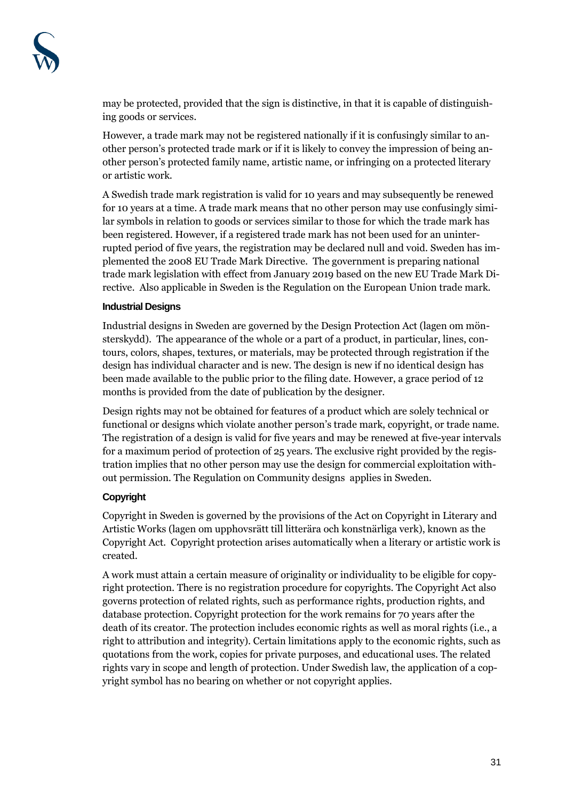may be protected, provided that the sign is distinctive, in that it is capable of distinguishing goods or services.

However, a trade mark may not be registered nationally if it is confusingly similar to another person's protected trade mark or if it is likely to convey the impression of being another person's protected family name, artistic name, or infringing on a protected literary or artistic work.

A Swedish trade mark registration is valid for 10 years and may subsequently be renewed for 10 years at a time. A trade mark means that no other person may use confusingly similar symbols in relation to goods or services similar to those for which the trade mark has been registered. However, if a registered trade mark has not been used for an uninterrupted period of five years, the registration may be declared null and void. Sweden has implemented the 2008 EU Trade Mark Directive. The government is preparing national trade mark legislation with effect from January 2019 based on the new EU Trade Mark Directive. Also applicable in Sweden is the Regulation on the European Union trade mark.

## **Industrial Designs**

Industrial designs in Sweden are governed by the Design Protection Act (lagen om mönsterskydd). The appearance of the whole or a part of a product, in particular, lines, contours, colors, shapes, textures, or materials, may be protected through registration if the design has individual character and is new. The design is new if no identical design has been made available to the public prior to the filing date. However, a grace period of 12 months is provided from the date of publication by the designer.

Design rights may not be obtained for features of a product which are solely technical or functional or designs which violate another person's trade mark, copyright, or trade name. The registration of a design is valid for five years and may be renewed at five-year intervals for a maximum period of protection of 25 years. The exclusive right provided by the registration implies that no other person may use the design for commercial exploitation without permission. The Regulation on Community designs applies in Sweden.

## **Copyright**

Copyright in Sweden is governed by the provisions of the Act on Copyright in Literary and Artistic Works (lagen om upphovsrätt till litterära och konstnärliga verk), known as the Copyright Act. Copyright protection arises automatically when a literary or artistic work is created.

A work must attain a certain measure of originality or individuality to be eligible for copyright protection. There is no registration procedure for copyrights. The Copyright Act also governs protection of related rights, such as performance rights, production rights, and database protection. Copyright protection for the work remains for 70 years after the death of its creator. The protection includes economic rights as well as moral rights (i.e., a right to attribution and integrity). Certain limitations apply to the economic rights, such as quotations from the work, copies for private purposes, and educational uses. The related rights vary in scope and length of protection. Under Swedish law, the application of a copyright symbol has no bearing on whether or not copyright applies.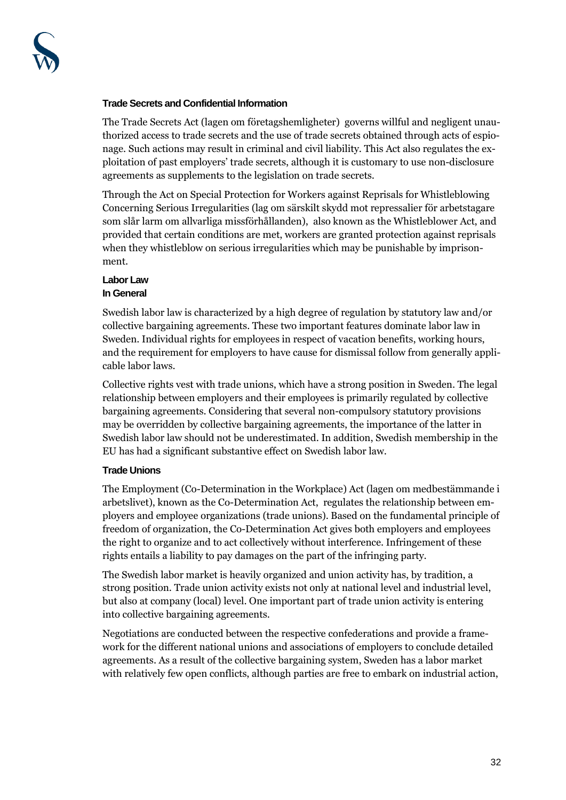#### **Trade Secrets and Confidential Information**

The Trade Secrets Act (lagen om företagshemligheter) governs willful and negligent unauthorized access to trade secrets and the use of trade secrets obtained through acts of espionage. Such actions may result in criminal and civil liability. This Act also regulates the exploitation of past employers' trade secrets, although it is customary to use non-disclosure agreements as supplements to the legislation on trade secrets.

Through the Act on Special Protection for Workers against Reprisals for Whistleblowing Concerning Serious Irregularities (lag om särskilt skydd mot repressalier för arbetstagare som slår larm om allvarliga missförhållanden), also known as the Whistleblower Act, and provided that certain conditions are met, workers are granted protection against reprisals when they whistleblow on serious irregularities which may be punishable by imprisonment.

#### **Labor Law In General**

Swedish labor law is characterized by a high degree of regulation by statutory law and/or collective bargaining agreements. These two important features dominate labor law in Sweden. Individual rights for employees in respect of vacation benefits, working hours, and the requirement for employers to have cause for dismissal follow from generally applicable labor laws.

Collective rights vest with trade unions, which have a strong position in Sweden. The legal relationship between employers and their employees is primarily regulated by collective bargaining agreements. Considering that several non-compulsory statutory provisions may be overridden by collective bargaining agreements, the importance of the latter in Swedish labor law should not be underestimated. In addition, Swedish membership in the EU has had a significant substantive effect on Swedish labor law.

## **Trade Unions**

The Employment (Co-Determination in the Workplace) Act (lagen om medbestämmande i arbetslivet), known as the Co-Determination Act, regulates the relationship between employers and employee organizations (trade unions). Based on the fundamental principle of freedom of organization, the Co-Determination Act gives both employers and employees the right to organize and to act collectively without interference. Infringement of these rights entails a liability to pay damages on the part of the infringing party.

The Swedish labor market is heavily organized and union activity has, by tradition, a strong position. Trade union activity exists not only at national level and industrial level, but also at company (local) level. One important part of trade union activity is entering into collective bargaining agreements.

Negotiations are conducted between the respective confederations and provide a framework for the different national unions and associations of employers to conclude detailed agreements. As a result of the collective bargaining system, Sweden has a labor market with relatively few open conflicts, although parties are free to embark on industrial action,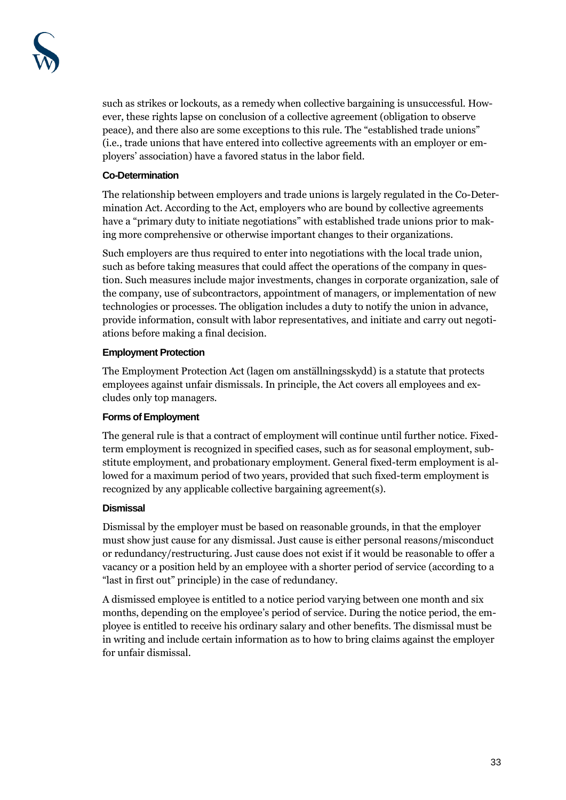such as strikes or lockouts, as a remedy when collective bargaining is unsuccessful. However, these rights lapse on conclusion of a collective agreement (obligation to observe peace), and there also are some exceptions to this rule. The "established trade unions" (i.e., trade unions that have entered into collective agreements with an employer or employers' association) have a favored status in the labor field.

## **Co-Determination**

The relationship between employers and trade unions is largely regulated in the Co-Determination Act. According to the Act, employers who are bound by collective agreements have a "primary duty to initiate negotiations" with established trade unions prior to making more comprehensive or otherwise important changes to their organizations.

Such employers are thus required to enter into negotiations with the local trade union, such as before taking measures that could affect the operations of the company in question. Such measures include major investments, changes in corporate organization, sale of the company, use of subcontractors, appointment of managers, or implementation of new technologies or processes. The obligation includes a duty to notify the union in advance, provide information, consult with labor representatives, and initiate and carry out negotiations before making a final decision.

# **Employment Protection**

The Employment Protection Act (lagen om anställningsskydd) is a statute that protects employees against unfair dismissals. In principle, the Act covers all employees and excludes only top managers.

## **Forms of Employment**

The general rule is that a contract of employment will continue until further notice. Fixedterm employment is recognized in specified cases, such as for seasonal employment, substitute employment, and probationary employment. General fixed-term employment is allowed for a maximum period of two years, provided that such fixed-term employment is recognized by any applicable collective bargaining agreement(s).

## **Dismissal**

Dismissal by the employer must be based on reasonable grounds, in that the employer must show just cause for any dismissal. Just cause is either personal reasons/misconduct or redundancy/restructuring. Just cause does not exist if it would be reasonable to offer a vacancy or a position held by an employee with a shorter period of service (according to a "last in first out" principle) in the case of redundancy.

A dismissed employee is entitled to a notice period varying between one month and six months, depending on the employee's period of service. During the notice period, the employee is entitled to receive his ordinary salary and other benefits. The dismissal must be in writing and include certain information as to how to bring claims against the employer for unfair dismissal.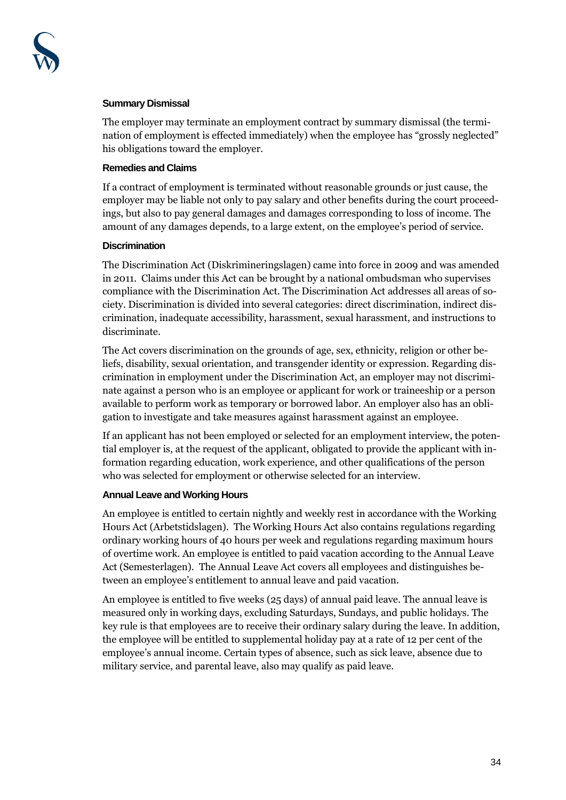

#### **Summary Dismissal**

The employer may terminate an employment contract by summary dismissal (the termination of employment is effected immediately) when the employee has "grossly neglected" his obligations toward the employer.

#### **Remedies and Claims**

If a contract of employment is terminated without reasonable grounds or just cause, the employer may be liable not only to pay salary and other benefits during the court proceedings, but also to pay general damages and damages corresponding to loss of income. The amount of any damages depends, to a large extent, on the employee's period of service.

#### **Discrimination**

The Discrimination Act (Diskrimineringslagen) came into force in 2009 and was amended in 2011. Claims under this Act can be brought by a national ombudsman who supervises compliance with the Discrimination Act. The Discrimination Act addresses all areas of society. Discrimination is divided into several categories: direct discrimination, indirect discrimination, inadequate accessibility, harassment, sexual harassment, and instructions to discriminate.

The Act covers discrimination on the grounds of age, sex, ethnicity, religion or other beliefs, disability, sexual orientation, and transgender identity or expression. Regarding discrimination in employment under the Discrimination Act, an employer may not discriminate against a person who is an employee or applicant for work or traineeship or a person available to perform work as temporary or borrowed labor. An employer also has an obligation to investigate and take measures against harassment against an employee.

If an applicant has not been employed or selected for an employment interview, the potential employer is, at the request of the applicant, obligated to provide the applicant with information regarding education, work experience, and other qualifications of the person who was selected for employment or otherwise selected for an interview.

## **Annual Leave and Working Hours**

An employee is entitled to certain nightly and weekly rest in accordance with the Working Hours Act (Arbetstidslagen). The Working Hours Act also contains regulations regarding ordinary working hours of 40 hours per week and regulations regarding maximum hours of overtime work. An employee is entitled to paid vacation according to the Annual Leave Act (Semesterlagen). The Annual Leave Act covers all employees and distinguishes between an employee's entitlement to annual leave and paid vacation.

An employee is entitled to five weeks (25 days) of annual paid leave. The annual leave is measured only in working days, excluding Saturdays, Sundays, and public holidays. The key rule is that employees are to receive their ordinary salary during the leave. In addition, the employee will be entitled to supplemental holiday pay at a rate of 12 per cent of the employee's annual income. Certain types of absence, such as sick leave, absence due to military service, and parental leave, also may qualify as paid leave.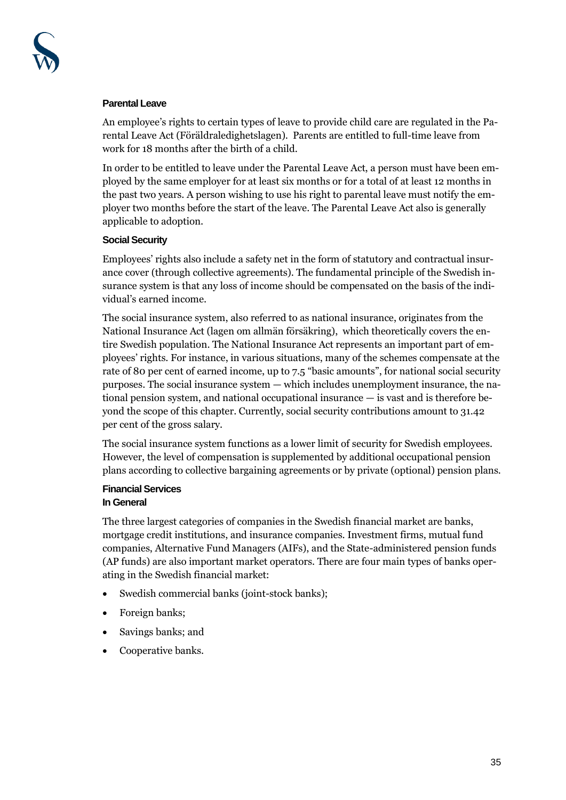#### **Parental Leave**

An employee's rights to certain types of leave to provide child care are regulated in the Parental Leave Act (Föräldraledighetslagen). Parents are entitled to full-time leave from work for 18 months after the birth of a child.

In order to be entitled to leave under the Parental Leave Act, a person must have been employed by the same employer for at least six months or for a total of at least 12 months in the past two years. A person wishing to use his right to parental leave must notify the employer two months before the start of the leave. The Parental Leave Act also is generally applicable to adoption.

## **Social Security**

Employees' rights also include a safety net in the form of statutory and contractual insurance cover (through collective agreements). The fundamental principle of the Swedish insurance system is that any loss of income should be compensated on the basis of the individual's earned income.

The social insurance system, also referred to as national insurance, originates from the National Insurance Act (lagen om allmän försäkring), which theoretically covers the entire Swedish population. The National Insurance Act represents an important part of employees' rights. For instance, in various situations, many of the schemes compensate at the rate of 80 per cent of earned income, up to 7.5 "basic amounts", for national social security purposes. The social insurance system — which includes unemployment insurance, the national pension system, and national occupational insurance — is vast and is therefore beyond the scope of this chapter. Currently, social security contributions amount to 31.42 per cent of the gross salary.

The social insurance system functions as a lower limit of security for Swedish employees. However, the level of compensation is supplemented by additional occupational pension plans according to collective bargaining agreements or by private (optional) pension plans.

## **Financial Services In General**

The three largest categories of companies in the Swedish financial market are banks, mortgage credit institutions, and insurance companies. Investment firms, mutual fund companies, Alternative Fund Managers (AIFs), and the State-administered pension funds (AP funds) are also important market operators. There are four main types of banks operating in the Swedish financial market:

- Swedish commercial banks (joint-stock banks);
- Foreign banks;
- Savings banks; and
- Cooperative banks.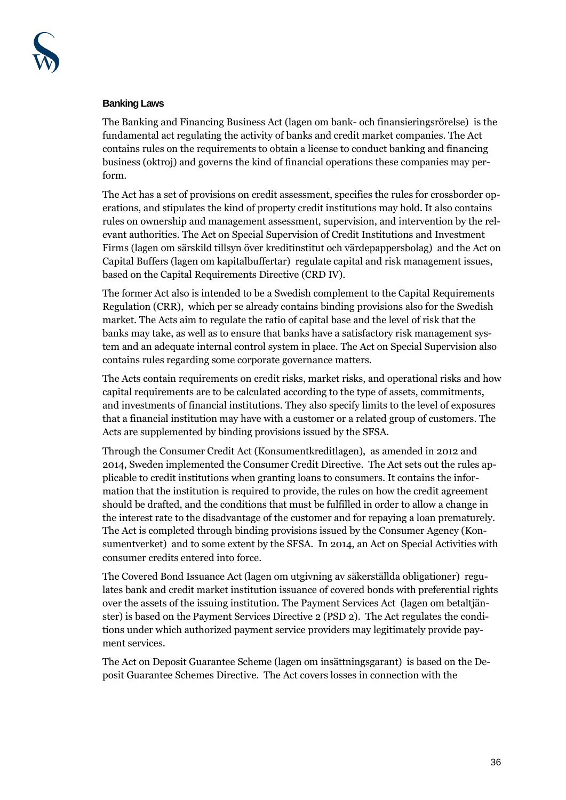

#### **Banking Laws**

The Banking and Financing Business Act (lagen om bank- och finansieringsrörelse) is the fundamental act regulating the activity of banks and credit market companies. The Act contains rules on the requirements to obtain a license to conduct banking and financing business (oktroj) and governs the kind of financial operations these companies may perform.

The Act has a set of provisions on credit assessment, specifies the rules for crossborder operations, and stipulates the kind of property credit institutions may hold. It also contains rules on ownership and management assessment, supervision, and intervention by the relevant authorities. The Act on Special Supervision of Credit Institutions and Investment Firms (lagen om särskild tillsyn över kreditinstitut och värdepappersbolag) and the Act on Capital Buffers (lagen om kapitalbuffertar) regulate capital and risk management issues, based on the Capital Requirements Directive (CRD IV).

The former Act also is intended to be a Swedish complement to the Capital Requirements Regulation (CRR), which per se already contains binding provisions also for the Swedish market. The Acts aim to regulate the ratio of capital base and the level of risk that the banks may take, as well as to ensure that banks have a satisfactory risk management system and an adequate internal control system in place. The Act on Special Supervision also contains rules regarding some corporate governance matters.

The Acts contain requirements on credit risks, market risks, and operational risks and how capital requirements are to be calculated according to the type of assets, commitments, and investments of financial institutions. They also specify limits to the level of exposures that a financial institution may have with a customer or a related group of customers. The Acts are supplemented by binding provisions issued by the SFSA.

Through the Consumer Credit Act (Konsumentkreditlagen), as amended in 2012 and 2014, Sweden implemented the Consumer Credit Directive. The Act sets out the rules applicable to credit institutions when granting loans to consumers. It contains the information that the institution is required to provide, the rules on how the credit agreement should be drafted, and the conditions that must be fulfilled in order to allow a change in the interest rate to the disadvantage of the customer and for repaying a loan prematurely. The Act is completed through binding provisions issued by the Consumer Agency (Konsumentverket) and to some extent by the SFSA. In 2014, an Act on Special Activities with consumer credits entered into force.

The Covered Bond Issuance Act (lagen om utgivning av säkerställda obligationer) regulates bank and credit market institution issuance of covered bonds with preferential rights over the assets of the issuing institution. The Payment Services Act (lagen om betaltjänster) is based on the Payment Services Directive 2 (PSD 2). The Act regulates the conditions under which authorized payment service providers may legitimately provide payment services.

The Act on Deposit Guarantee Scheme (lagen om insättningsgarant) is based on the Deposit Guarantee Schemes Directive. The Act covers losses in connection with the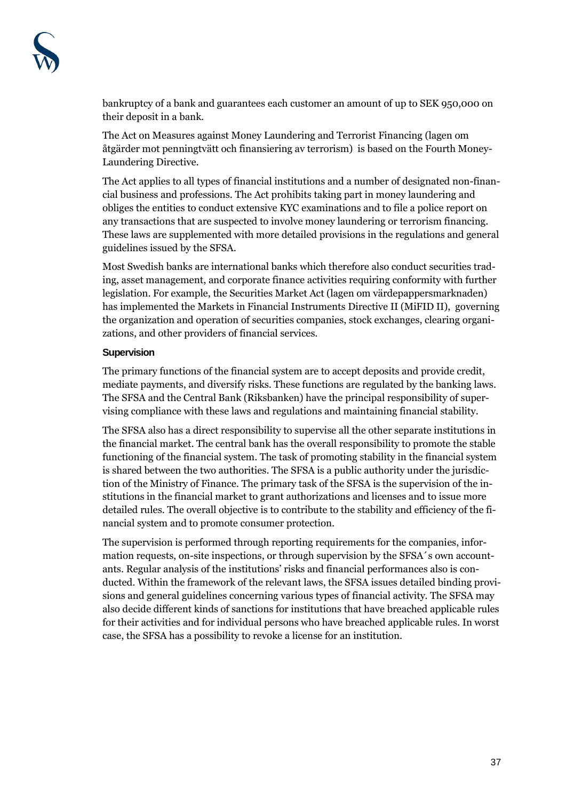bankruptcy of a bank and guarantees each customer an amount of up to SEK 950,000 on their deposit in a bank.

The Act on Measures against Money Laundering and Terrorist Financing (lagen om åtgärder mot penningtvätt och finansiering av terrorism) is based on the Fourth Money-Laundering Directive.

The Act applies to all types of financial institutions and a number of designated non-financial business and professions. The Act prohibits taking part in money laundering and obliges the entities to conduct extensive KYC examinations and to file a police report on any transactions that are suspected to involve money laundering or terrorism financing. These laws are supplemented with more detailed provisions in the regulations and general guidelines issued by the SFSA.

Most Swedish banks are international banks which therefore also conduct securities trading, asset management, and corporate finance activities requiring conformity with further legislation. For example, the Securities Market Act (lagen om värdepappersmarknaden) has implemented the Markets in Financial Instruments Directive II (MiFID II), governing the organization and operation of securities companies, stock exchanges, clearing organizations, and other providers of financial services.

## **Supervision**

The primary functions of the financial system are to accept deposits and provide credit, mediate payments, and diversify risks. These functions are regulated by the banking laws. The SFSA and the Central Bank (Riksbanken) have the principal responsibility of supervising compliance with these laws and regulations and maintaining financial stability.

The SFSA also has a direct responsibility to supervise all the other separate institutions in the financial market. The central bank has the overall responsibility to promote the stable functioning of the financial system. The task of promoting stability in the financial system is shared between the two authorities. The SFSA is a public authority under the jurisdiction of the Ministry of Finance. The primary task of the SFSA is the supervision of the institutions in the financial market to grant authorizations and licenses and to issue more detailed rules. The overall objective is to contribute to the stability and efficiency of the financial system and to promote consumer protection.

The supervision is performed through reporting requirements for the companies, information requests, on-site inspections, or through supervision by the SFSA´s own accountants. Regular analysis of the institutions' risks and financial performances also is conducted. Within the framework of the relevant laws, the SFSA issues detailed binding provisions and general guidelines concerning various types of financial activity. The SFSA may also decide different kinds of sanctions for institutions that have breached applicable rules for their activities and for individual persons who have breached applicable rules. In worst case, the SFSA has a possibility to revoke a license for an institution.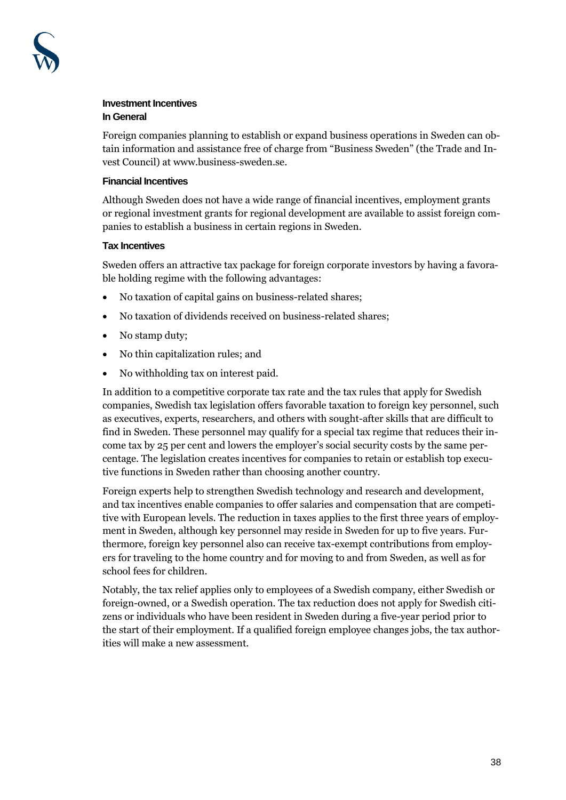

#### **Investment Incentives In General**

Foreign companies planning to establish or expand business operations in Sweden can obtain information and assistance free of charge from "Business Sweden" (the Trade and Invest Council) at www.business-sweden.se.

#### **Financial Incentives**

Although Sweden does not have a wide range of financial incentives, employment grants or regional investment grants for regional development are available to assist foreign companies to establish a business in certain regions in Sweden.

#### **Tax Incentives**

Sweden offers an attractive tax package for foreign corporate investors by having a favorable holding regime with the following advantages:

- No taxation of capital gains on business-related shares;
- No taxation of dividends received on business-related shares;
- No stamp duty;
- No thin capitalization rules; and
- No withholding tax on interest paid.

In addition to a competitive corporate tax rate and the tax rules that apply for Swedish companies, Swedish tax legislation offers favorable taxation to foreign key personnel, such as executives, experts, researchers, and others with sought-after skills that are difficult to find in Sweden. These personnel may qualify for a special tax regime that reduces their income tax by 25 per cent and lowers the employer's social security costs by the same percentage. The legislation creates incentives for companies to retain or establish top executive functions in Sweden rather than choosing another country.

Foreign experts help to strengthen Swedish technology and research and development, and tax incentives enable companies to offer salaries and compensation that are competitive with European levels. The reduction in taxes applies to the first three years of employment in Sweden, although key personnel may reside in Sweden for up to five years. Furthermore, foreign key personnel also can receive tax-exempt contributions from employers for traveling to the home country and for moving to and from Sweden, as well as for school fees for children.

Notably, the tax relief applies only to employees of a Swedish company, either Swedish or foreign-owned, or a Swedish operation. The tax reduction does not apply for Swedish citizens or individuals who have been resident in Sweden during a five-year period prior to the start of their employment. If a qualified foreign employee changes jobs, the tax authorities will make a new assessment.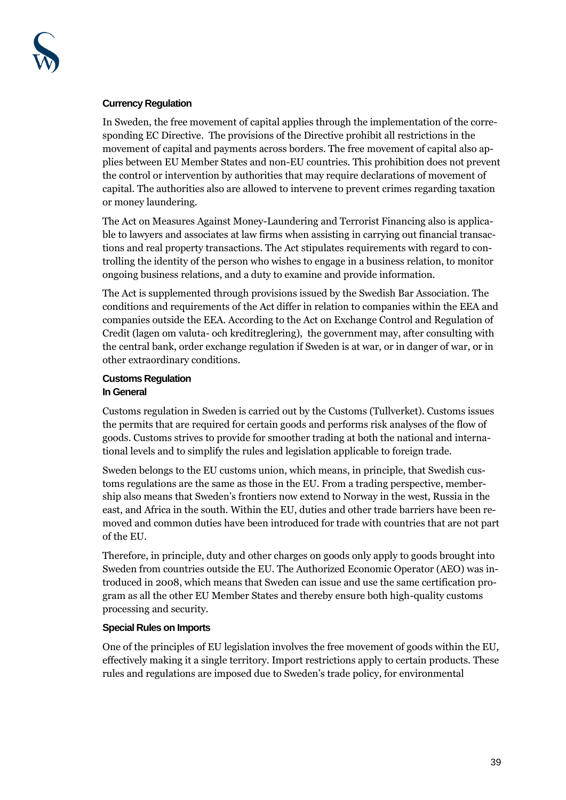

#### **Currency Regulation**

In Sweden, the free movement of capital applies through the implementation of the corresponding EC Directive. The provisions of the Directive prohibit all restrictions in the movement of capital and payments across borders. The free movement of capital also applies between EU Member States and non-EU countries. This prohibition does not prevent the control or intervention by authorities that may require declarations of movement of capital. The authorities also are allowed to intervene to prevent crimes regarding taxation or money laundering.

The Act on Measures Against Money-Laundering and Terrorist Financing also is applicable to lawyers and associates at law firms when assisting in carrying out financial transactions and real property transactions. The Act stipulates requirements with regard to controlling the identity of the person who wishes to engage in a business relation, to monitor ongoing business relations, and a duty to examine and provide information.

The Act is supplemented through provisions issued by the Swedish Bar Association. The conditions and requirements of the Act differ in relation to companies within the EEA and companies outside the EEA. According to the Act on Exchange Control and Regulation of Credit (lagen om valuta- och kreditreglering), the government may, after consulting with the central bank, order exchange regulation if Sweden is at war, or in danger of war, or in other extraordinary conditions.

#### **Customs Regulation In General**

Customs regulation in Sweden is carried out by the Customs (Tullverket). Customs issues the permits that are required for certain goods and performs risk analyses of the flow of goods. Customs strives to provide for smoother trading at both the national and international levels and to simplify the rules and legislation applicable to foreign trade.

Sweden belongs to the EU customs union, which means, in principle, that Swedish customs regulations are the same as those in the EU. From a trading perspective, membership also means that Sweden's frontiers now extend to Norway in the west, Russia in the east, and Africa in the south. Within the EU, duties and other trade barriers have been removed and common duties have been introduced for trade with countries that are not part of the EU.

Therefore, in principle, duty and other charges on goods only apply to goods brought into Sweden from countries outside the EU. The Authorized Economic Operator (AEO) was introduced in 2008, which means that Sweden can issue and use the same certification program as all the other EU Member States and thereby ensure both high-quality customs processing and security.

## **Special Rules on Imports**

One of the principles of EU legislation involves the free movement of goods within the EU, effectively making it a single territory. Import restrictions apply to certain products. These rules and regulations are imposed due to Sweden's trade policy, for environmental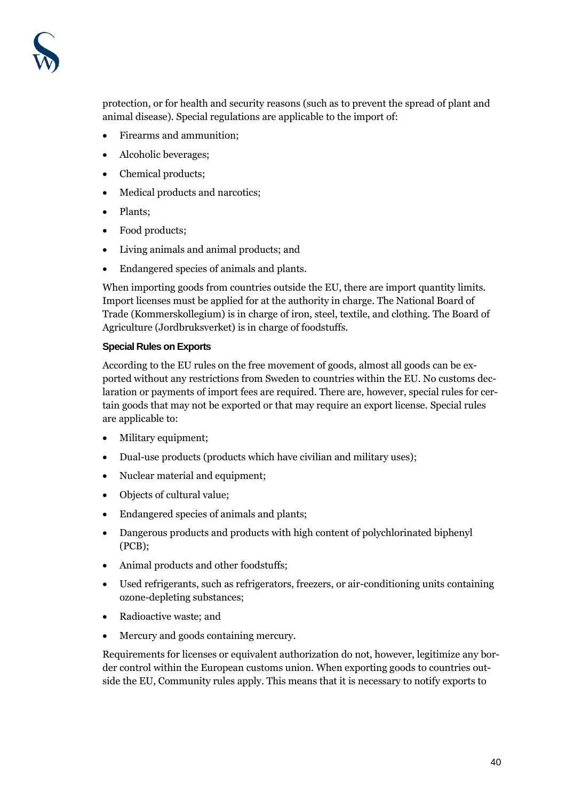

protection, or for health and security reasons (such as to prevent the spread of plant and animal disease). Special regulations are applicable to the import of:

- Firearms and ammunition;
- Alcoholic beverages;
- Chemical products;
- Medical products and narcotics;
- Plants;
- Food products;
- Living animals and animal products; and
- Endangered species of animals and plants.

When importing goods from countries outside the EU, there are import quantity limits. Import licenses must be applied for at the authority in charge. The National Board of Trade (Kommerskollegium) is in charge of iron, steel, textile, and clothing. The Board of Agriculture (Jordbruksverket) is in charge of foodstuffs.

#### **Special Rules on Exports**

According to the EU rules on the free movement of goods, almost all goods can be exported without any restrictions from Sweden to countries within the EU. No customs declaration or payments of import fees are required. There are, however, special rules for certain goods that may not be exported or that may require an export license. Special rules are applicable to:

- Military equipment;
- Dual-use products (products which have civilian and military uses);
- Nuclear material and equipment;
- Objects of cultural value;
- Endangered species of animals and plants;
- Dangerous products and products with high content of polychlorinated biphenyl (PCB);
- Animal products and other foodstuffs;
- Used refrigerants, such as refrigerators, freezers, or air-conditioning units containing ozone-depleting substances;
- Radioactive waste; and
- Mercury and goods containing mercury.

Requirements for licenses or equivalent authorization do not, however, legitimize any border control within the European customs union. When exporting goods to countries outside the EU, Community rules apply. This means that it is necessary to notify exports to